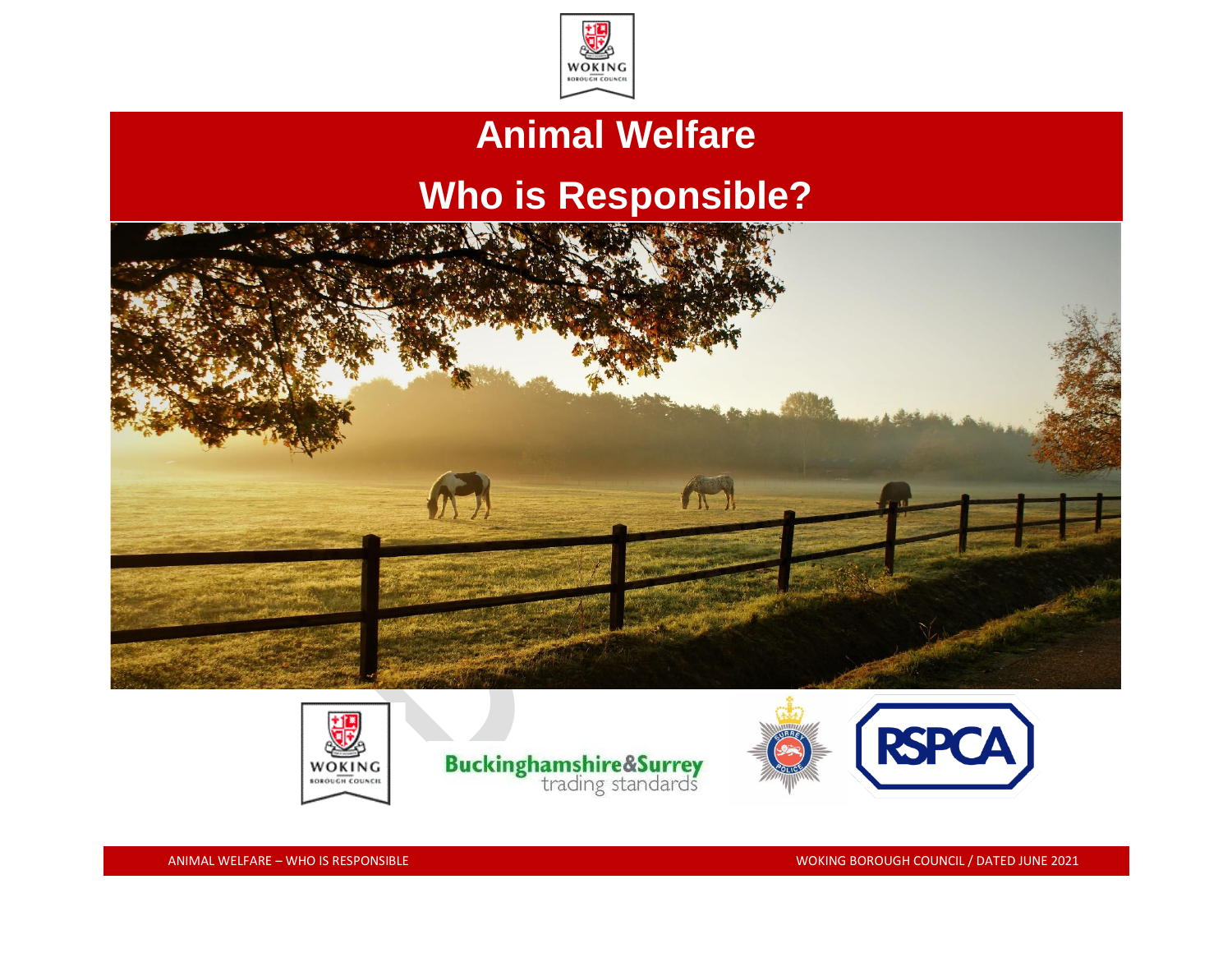

### **Animal Welfare**

## **Who is Responsible?**





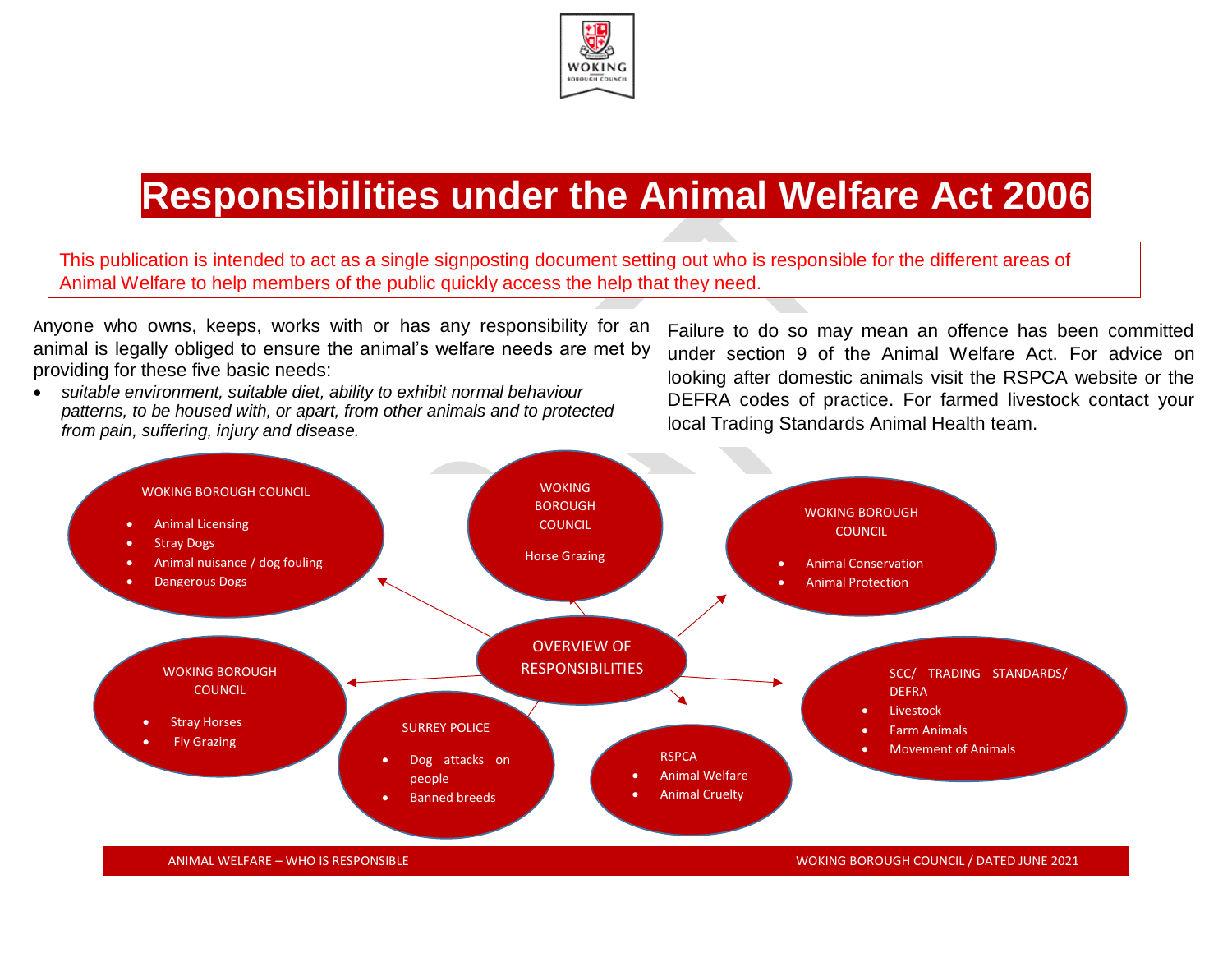

# **Responsibilities under the Animal Welfare Act 2006**

This publication is intended to act as a single signposting document setting out who is responsible for the different areas of Animal Welfare to help members of the public quickly access the help that they need.

Anyone who owns, keeps, works with or has any responsibility for an animal is legally obliged to ensure the animal's welfare needs are met by providing for these five basic needs:

• *suitable environment, suitable diet, ability to exhibit normal behaviour patterns, to be housed with, or apart, from other animals and to protected from pain, suffering, injury and disease.*

Failure to do so may mean an offence has been committed under section 9 of the Animal Welfare Act. For advice on looking after domestic animals visit the RSPCA website or the DEFRA codes of practice. For farmed livestock contact your local Trading Standards Animal Health team.

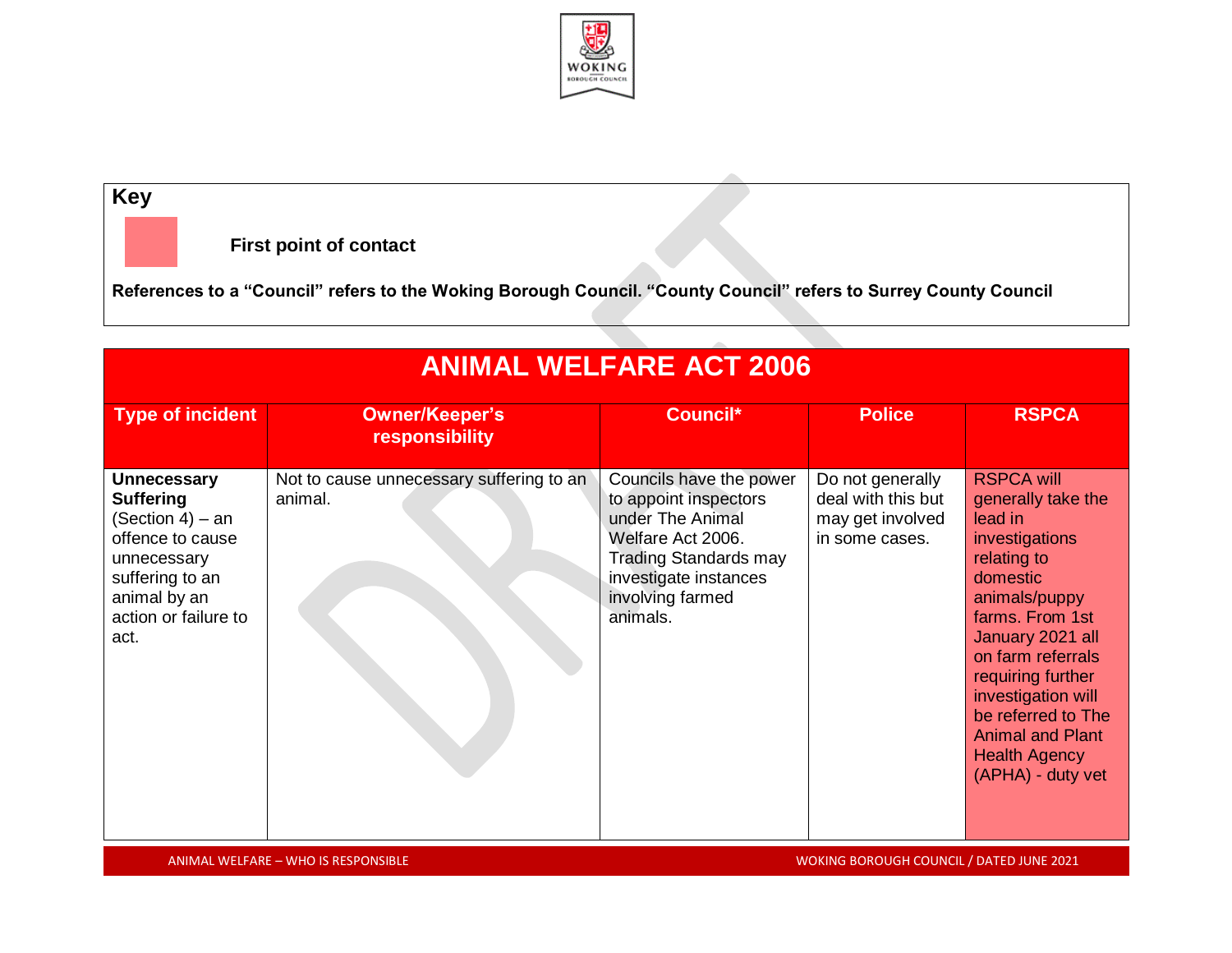

#### **Key**

**First point of contact**

**References to a "Council" refers to the Woking Borough Council. "County Council" refers to Surrey County Council** 

| <b>ANIMAL WELFARE ACT 2006</b>                                                                                                                                   |                                                     |                                                                                                                                                                                    |                                                                              |                                                                                                                                                                                                                                                                                                                       |
|------------------------------------------------------------------------------------------------------------------------------------------------------------------|-----------------------------------------------------|------------------------------------------------------------------------------------------------------------------------------------------------------------------------------------|------------------------------------------------------------------------------|-----------------------------------------------------------------------------------------------------------------------------------------------------------------------------------------------------------------------------------------------------------------------------------------------------------------------|
| <b>Type of incident</b>                                                                                                                                          | <b>Owner/Keeper's</b><br>responsibility             | Council*                                                                                                                                                                           | <b>Police</b>                                                                | <b>RSPCA</b>                                                                                                                                                                                                                                                                                                          |
| <b>Unnecessary</b><br><b>Suffering</b><br>(Section 4) – an<br>offence to cause<br>unnecessary<br>suffering to an<br>animal by an<br>action or failure to<br>act. | Not to cause unnecessary suffering to an<br>animal. | Councils have the power<br>to appoint inspectors<br>under The Animal<br>Welfare Act 2006.<br><b>Trading Standards may</b><br>investigate instances<br>involving farmed<br>animals. | Do not generally<br>deal with this but<br>may get involved<br>in some cases. | <b>RSPCA will</b><br>generally take the<br>lead in<br>investigations<br>relating to<br>domestic<br>animals/puppy<br>farms. From 1st<br>January 2021 all<br>on farm referrals<br>requiring further<br>investigation will<br>be referred to The<br><b>Animal and Plant</b><br><b>Health Agency</b><br>(APHA) - duty vet |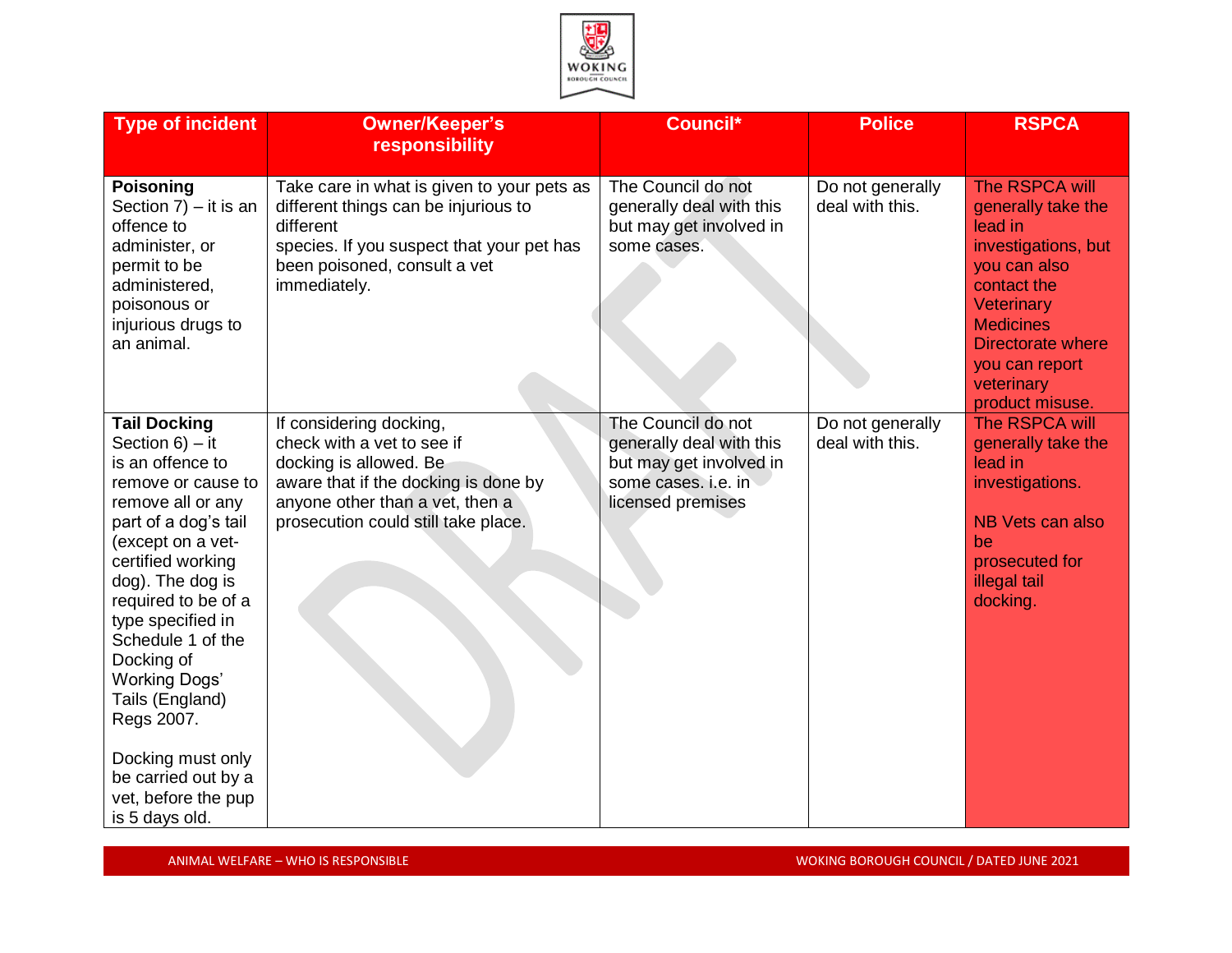

| <b>Type of incident</b>                                                                                                                                                                                                                                                                                                                                                                                                     | <b>Owner/Keeper's</b><br>responsibility                                                                                                                                                           | Council*                                                                                                              | <b>Police</b>                       | <b>RSPCA</b>                                                                                                                                                                                                           |
|-----------------------------------------------------------------------------------------------------------------------------------------------------------------------------------------------------------------------------------------------------------------------------------------------------------------------------------------------------------------------------------------------------------------------------|---------------------------------------------------------------------------------------------------------------------------------------------------------------------------------------------------|-----------------------------------------------------------------------------------------------------------------------|-------------------------------------|------------------------------------------------------------------------------------------------------------------------------------------------------------------------------------------------------------------------|
| <b>Poisoning</b><br>Section $7$ ) – it is an<br>offence to<br>administer, or<br>permit to be<br>administered,<br>poisonous or<br>injurious drugs to<br>an animal.                                                                                                                                                                                                                                                           | Take care in what is given to your pets as<br>different things can be injurious to<br>different<br>species. If you suspect that your pet has<br>been poisoned, consult a vet<br>immediately.      | The Council do not<br>generally deal with this<br>but may get involved in<br>some cases.                              | Do not generally<br>deal with this. | The RSPCA will<br>generally take the<br>lead in<br>investigations, but<br>you can also<br>contact the<br>Veterinary<br><b>Medicines</b><br><b>Directorate where</b><br>you can report<br>veterinary<br>product misuse. |
| <b>Tail Docking</b><br>Section $6$ ) – it<br>is an offence to<br>remove or cause to<br>remove all or any<br>part of a dog's tail<br>(except on a vet-<br>certified working<br>dog). The dog is<br>required to be of a<br>type specified in<br>Schedule 1 of the<br>Docking of<br><b>Working Dogs'</b><br>Tails (England)<br>Regs 2007.<br>Docking must only<br>be carried out by a<br>vet, before the pup<br>is 5 days old. | If considering docking,<br>check with a vet to see if<br>docking is allowed. Be<br>aware that if the docking is done by<br>anyone other than a vet, then a<br>prosecution could still take place. | The Council do not<br>generally deal with this<br>but may get involved in<br>some cases. i.e. in<br>licensed premises | Do not generally<br>deal with this. | The RSPCA will<br>generally take the<br>lead in<br>investigations.<br>NB Vets can also<br>be<br>prosecuted for<br>illegal tail<br>docking.                                                                             |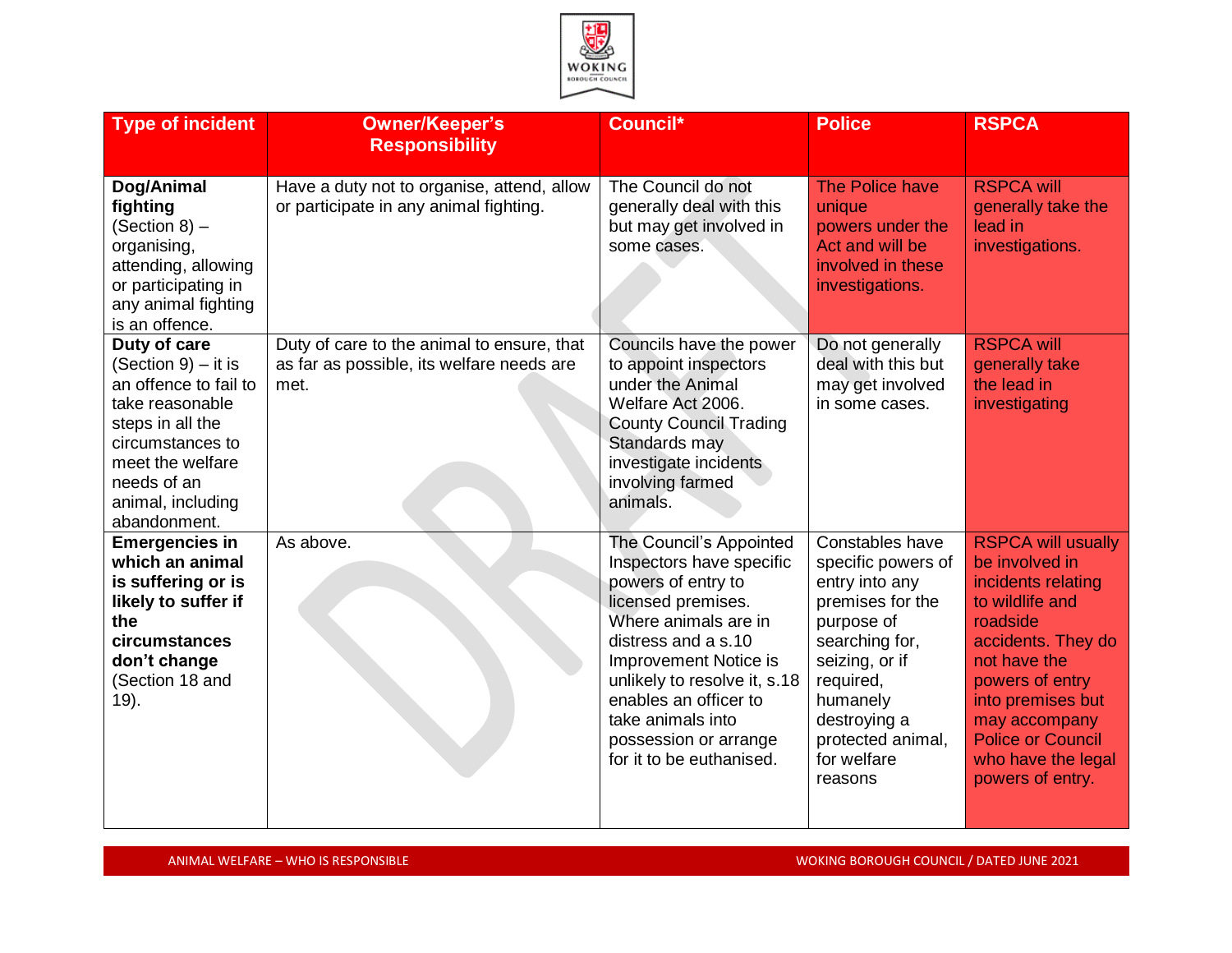

| <b>Type of incident</b>                                                                                                                                                                         | <b>Owner/Keeper's</b><br><b>Responsibility</b>                                                  | <b>Council*</b>                                                                                                                                                                                                                                                                                                   | <b>Police</b>                                                                                                                                                                                                         | <b>RSPCA</b>                                                                                                                                                                                                                                                          |
|-------------------------------------------------------------------------------------------------------------------------------------------------------------------------------------------------|-------------------------------------------------------------------------------------------------|-------------------------------------------------------------------------------------------------------------------------------------------------------------------------------------------------------------------------------------------------------------------------------------------------------------------|-----------------------------------------------------------------------------------------------------------------------------------------------------------------------------------------------------------------------|-----------------------------------------------------------------------------------------------------------------------------------------------------------------------------------------------------------------------------------------------------------------------|
| Dog/Animal<br>fighting<br>(Section 8) -<br>organising,<br>attending, allowing<br>or participating in<br>any animal fighting<br>is an offence.                                                   | Have a duty not to organise, attend, allow<br>or participate in any animal fighting.            | The Council do not<br>generally deal with this<br>but may get involved in<br>some cases.                                                                                                                                                                                                                          | The Police have<br>unique<br>powers under the<br>Act and will be<br>involved in these<br>investigations.                                                                                                              | <b>RSPCA will</b><br>generally take the<br>lead in<br>investigations.                                                                                                                                                                                                 |
| Duty of care<br>(Section 9) – it is<br>an offence to fail to<br>take reasonable<br>steps in all the<br>circumstances to<br>meet the welfare<br>needs of an<br>animal, including<br>abandonment. | Duty of care to the animal to ensure, that<br>as far as possible, its welfare needs are<br>met. | Councils have the power<br>to appoint inspectors<br>under the Animal<br>Welfare Act 2006.<br><b>County Council Trading</b><br>Standards may<br>investigate incidents<br>involving farmed<br>animals.                                                                                                              | Do not generally<br>deal with this but<br>may get involved<br>in some cases.                                                                                                                                          | <b>RSPCA will</b><br>generally take<br>the lead in<br>investigating                                                                                                                                                                                                   |
| <b>Emergencies in</b><br>which an animal<br>is suffering or is<br>likely to suffer if<br>the<br>circumstances<br>don't change<br>(Section 18 and<br>19).                                        | As above.                                                                                       | The Council's Appointed<br>Inspectors have specific<br>powers of entry to<br>licensed premises.<br>Where animals are in<br>distress and a s.10<br><b>Improvement Notice is</b><br>unlikely to resolve it, s.18<br>enables an officer to<br>take animals into<br>possession or arrange<br>for it to be euthanised. | Constables have<br>specific powers of<br>entry into any<br>premises for the<br>purpose of<br>searching for,<br>seizing, or if<br>required,<br>humanely<br>destroying a<br>protected animal,<br>for welfare<br>reasons | <b>RSPCA will usually</b><br>be involved in<br>incidents relating<br>to wildlife and<br>roadside<br>accidents. They do<br>not have the<br>powers of entry<br>into premises but<br>may accompany<br><b>Police or Council</b><br>who have the legal<br>powers of entry. |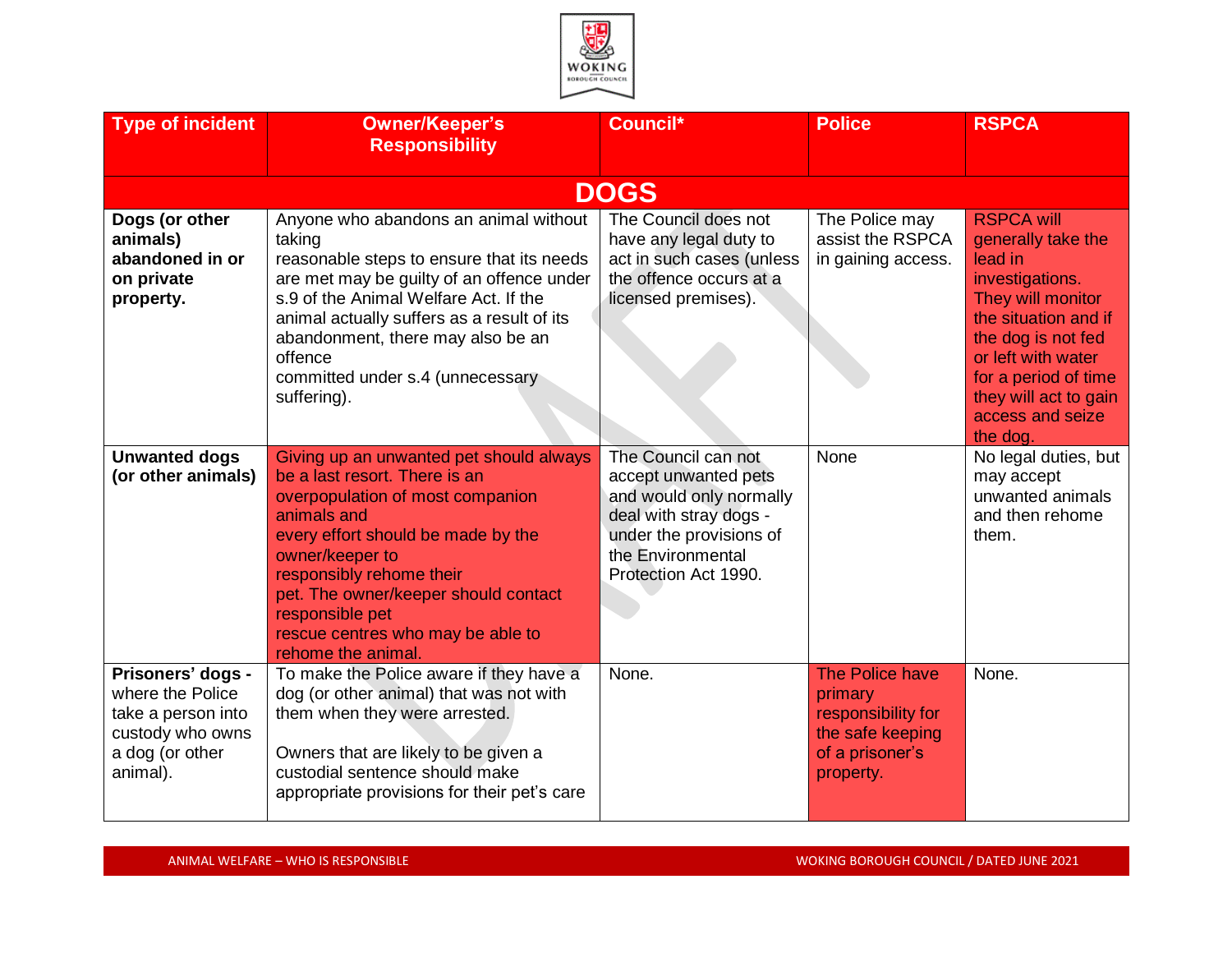

| <b>Type of incident</b>                                                                                        | <b>Owner/Keeper's</b><br><b>Responsibility</b>                                                                                                                                                                                                                                                                                         | Council*                                                                                                                                                                 | <b>Police</b>                                                                                        | <b>RSPCA</b>                                                                                                                                                                                                                                    |
|----------------------------------------------------------------------------------------------------------------|----------------------------------------------------------------------------------------------------------------------------------------------------------------------------------------------------------------------------------------------------------------------------------------------------------------------------------------|--------------------------------------------------------------------------------------------------------------------------------------------------------------------------|------------------------------------------------------------------------------------------------------|-------------------------------------------------------------------------------------------------------------------------------------------------------------------------------------------------------------------------------------------------|
|                                                                                                                |                                                                                                                                                                                                                                                                                                                                        | <b>DOGS</b>                                                                                                                                                              |                                                                                                      |                                                                                                                                                                                                                                                 |
| Dogs (or other<br>animals)<br>abandoned in or<br>on private<br>property.                                       | Anyone who abandons an animal without<br>taking<br>reasonable steps to ensure that its needs<br>are met may be guilty of an offence under<br>s.9 of the Animal Welfare Act. If the<br>animal actually suffers as a result of its<br>abandonment, there may also be an<br>offence<br>committed under s.4 (unnecessary<br>suffering).    | The Council does not<br>have any legal duty to<br>act in such cases (unless<br>the offence occurs at a<br>licensed premises).                                            | The Police may<br>assist the RSPCA<br>in gaining access.                                             | <b>RSPCA will</b><br>generally take the<br>lead in<br>investigations.<br>They will monitor<br>the situation and if<br>the dog is not fed<br>or left with water<br>for a period of time<br>they will act to gain<br>access and seize<br>the dog. |
| <b>Unwanted dogs</b><br>(or other animals)                                                                     | Giving up an unwanted pet should always<br>be a last resort. There is an<br>overpopulation of most companion<br>animals and<br>every effort should be made by the<br>owner/keeper to<br>responsibly rehome their<br>pet. The owner/keeper should contact<br>responsible pet<br>rescue centres who may be able to<br>rehome the animal. | The Council can not<br>accept unwanted pets<br>and would only normally<br>deal with stray dogs -<br>under the provisions of<br>the Environmental<br>Protection Act 1990. | None                                                                                                 | No legal duties, but<br>may accept<br>unwanted animals<br>and then rehome<br>them.                                                                                                                                                              |
| Prisoners' dogs -<br>where the Police<br>take a person into<br>custody who owns<br>a dog (or other<br>animal). | To make the Police aware if they have a<br>dog (or other animal) that was not with<br>them when they were arrested.<br>Owners that are likely to be given a<br>custodial sentence should make<br>appropriate provisions for their pet's care                                                                                           | None.                                                                                                                                                                    | The Police have<br>primary<br>responsibility for<br>the safe keeping<br>of a prisoner's<br>property. | None.                                                                                                                                                                                                                                           |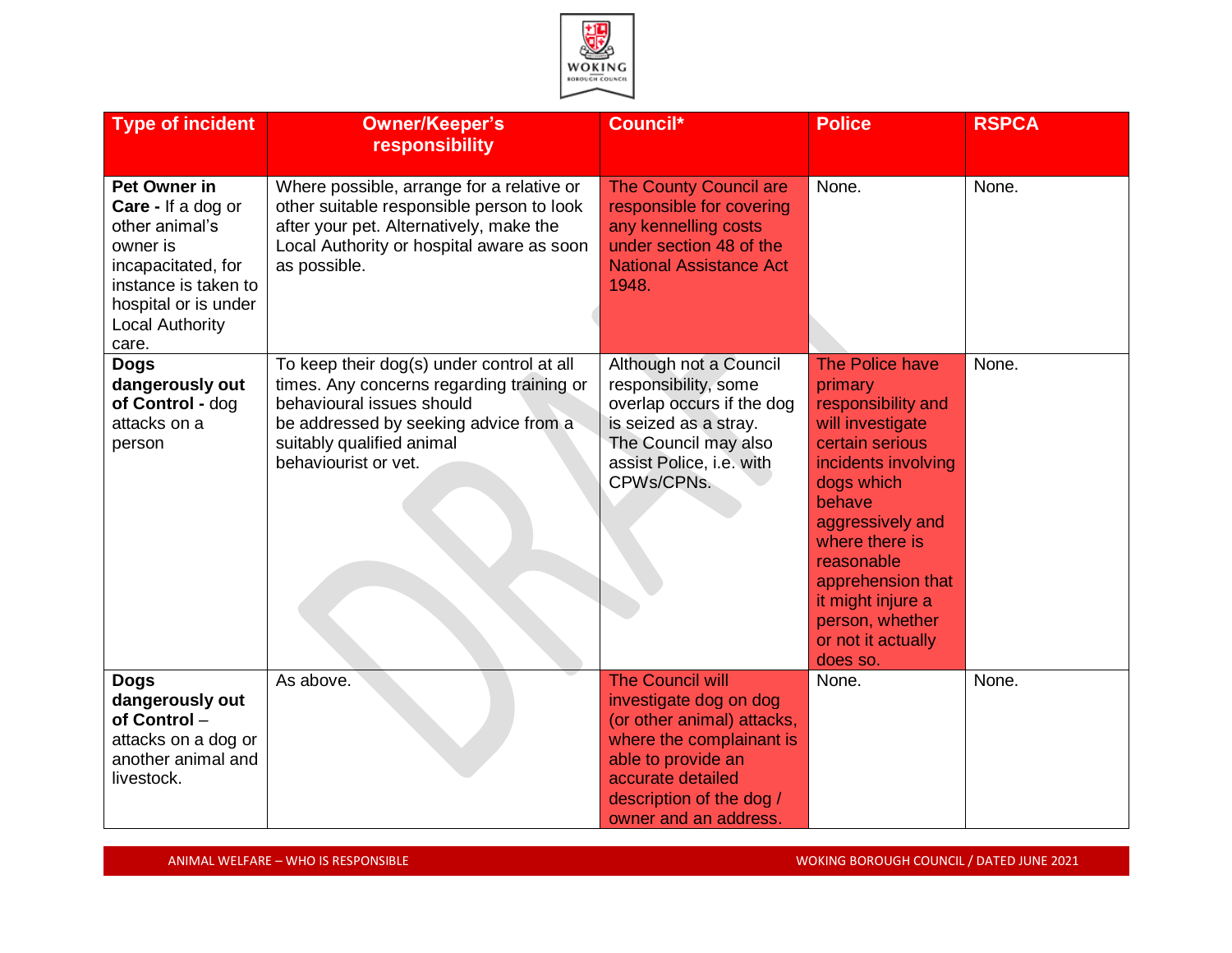

| <b>Type of incident</b>                                                                                                                                                          | <b>Owner/Keeper's</b><br>responsibility                                                                                                                                                                           | Council*                                                                                                                                                                                                    | <b>Police</b>                                                                                                                                                                                                                                                                             | <b>RSPCA</b> |
|----------------------------------------------------------------------------------------------------------------------------------------------------------------------------------|-------------------------------------------------------------------------------------------------------------------------------------------------------------------------------------------------------------------|-------------------------------------------------------------------------------------------------------------------------------------------------------------------------------------------------------------|-------------------------------------------------------------------------------------------------------------------------------------------------------------------------------------------------------------------------------------------------------------------------------------------|--------------|
| <b>Pet Owner in</b><br>Care - If a dog or<br>other animal's<br>owner is<br>incapacitated, for<br>instance is taken to<br>hospital or is under<br><b>Local Authority</b><br>care. | Where possible, arrange for a relative or<br>other suitable responsible person to look<br>after your pet. Alternatively, make the<br>Local Authority or hospital aware as soon<br>as possible.                    | <b>The County Council are</b><br>responsible for covering<br>any kennelling costs<br>under section 48 of the<br><b>National Assistance Act</b><br>1948.                                                     | None.                                                                                                                                                                                                                                                                                     | None.        |
| <b>Dogs</b><br>dangerously out<br>of Control - dog<br>attacks on a<br>person                                                                                                     | To keep their dog(s) under control at all<br>times. Any concerns regarding training or<br>behavioural issues should<br>be addressed by seeking advice from a<br>suitably qualified animal<br>behaviourist or vet. | Although not a Council<br>responsibility, some<br>overlap occurs if the dog<br>is seized as a stray.<br>The Council may also<br>assist Police, i.e. with<br>CPWs/CPNs.                                      | The Police have<br>primary<br>responsibility and<br>will investigate<br>certain serious<br>incidents involving<br>dogs which<br>behave<br>aggressively and<br>where there is<br>reasonable<br>apprehension that<br>it might injure a<br>person, whether<br>or not it actually<br>does so. | None.        |
| <b>Dogs</b><br>dangerously out<br>of Control-<br>attacks on a dog or<br>another animal and<br>livestock.                                                                         | As above.                                                                                                                                                                                                         | <b>The Council will</b><br>investigate dog on dog<br>(or other animal) attacks,<br>where the complainant is<br>able to provide an<br>accurate detailed<br>description of the dog /<br>owner and an address. | None.                                                                                                                                                                                                                                                                                     | None.        |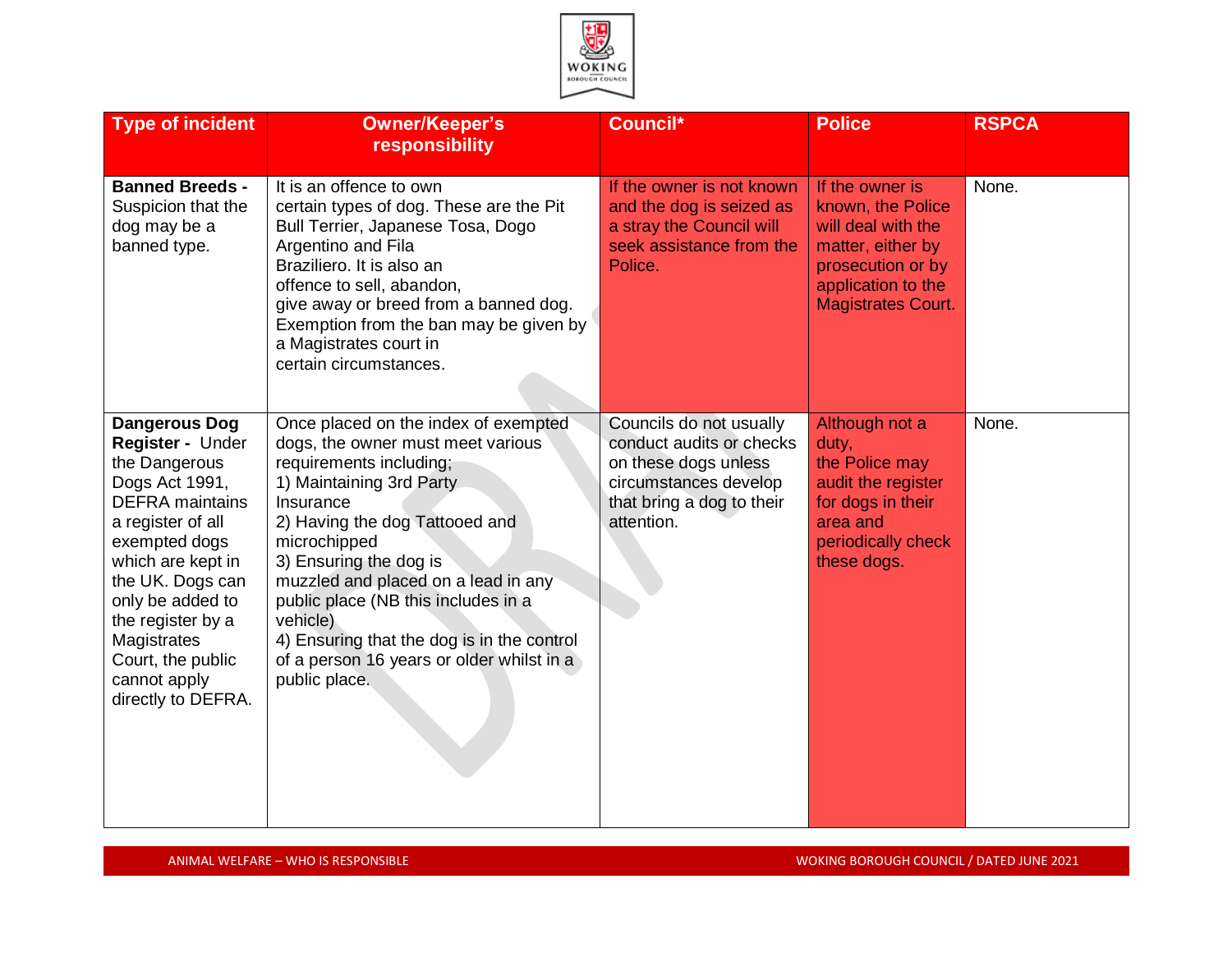

| <b>Type of incident</b>                                                                                                                                                                                                                                                                                 | <b>Owner/Keeper's</b><br>responsibility                                                                                                                                                                                                                                                                                                                                                                                         | Council*                                                                                                                                        | <b>Police</b>                                                                                                                                           | <b>RSPCA</b> |
|---------------------------------------------------------------------------------------------------------------------------------------------------------------------------------------------------------------------------------------------------------------------------------------------------------|---------------------------------------------------------------------------------------------------------------------------------------------------------------------------------------------------------------------------------------------------------------------------------------------------------------------------------------------------------------------------------------------------------------------------------|-------------------------------------------------------------------------------------------------------------------------------------------------|---------------------------------------------------------------------------------------------------------------------------------------------------------|--------------|
| <b>Banned Breeds -</b><br>Suspicion that the<br>dog may be a<br>banned type.                                                                                                                                                                                                                            | It is an offence to own<br>certain types of dog. These are the Pit<br>Bull Terrier, Japanese Tosa, Dogo<br>Argentino and Fila<br>Braziliero. It is also an<br>offence to sell, abandon,<br>give away or breed from a banned dog.<br>Exemption from the ban may be given by<br>a Magistrates court in<br>certain circumstances.                                                                                                  | If the owner is not known<br>and the dog is seized as<br>a stray the Council will<br>seek assistance from the<br>Police.                        | If the owner is<br>known, the Police<br>will deal with the<br>matter, either by<br>prosecution or by<br>application to the<br><b>Magistrates Court.</b> | None.        |
| <b>Dangerous Dog</b><br>Register - Under<br>the Dangerous<br>Dogs Act 1991,<br><b>DEFRA</b> maintains<br>a register of all<br>exempted dogs<br>which are kept in<br>the UK. Dogs can<br>only be added to<br>the register by a<br>Magistrates<br>Court, the public<br>cannot apply<br>directly to DEFRA. | Once placed on the index of exempted<br>dogs, the owner must meet various<br>requirements including;<br>1) Maintaining 3rd Party<br>Insurance<br>2) Having the dog Tattooed and<br>microchipped<br>3) Ensuring the dog is<br>muzzled and placed on a lead in any<br>public place (NB this includes in a<br>vehicle)<br>4) Ensuring that the dog is in the control<br>of a person 16 years or older whilst in a<br>public place. | Councils do not usually<br>conduct audits or checks<br>on these dogs unless<br>circumstances develop<br>that bring a dog to their<br>attention. | Although not a<br>duty,<br>the Police may<br>audit the register<br>for dogs in their<br>area and<br>periodically check<br>these dogs.                   | None.        |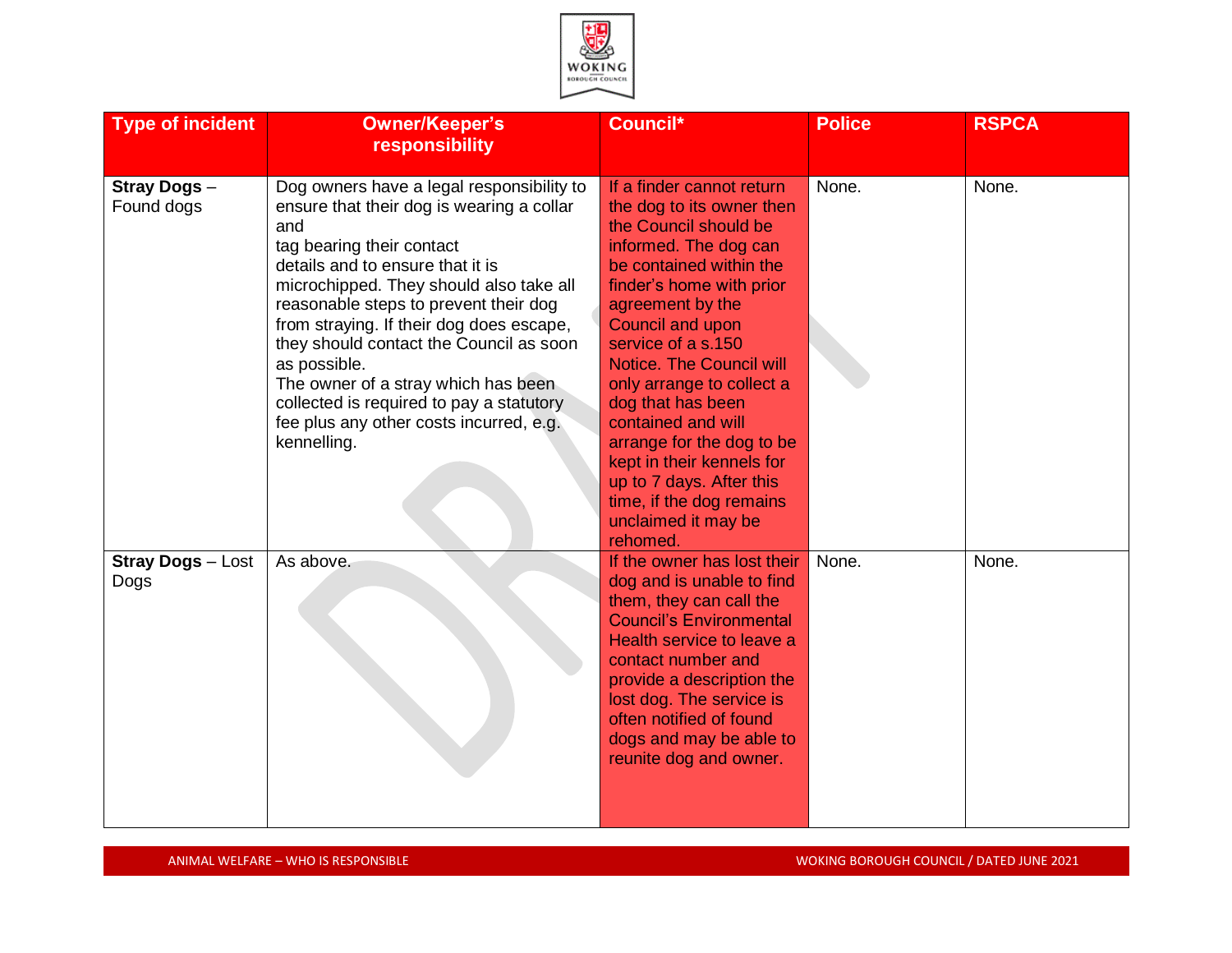

| <b>Type of incident</b>          | <b>Owner/Keeper's</b><br>responsibility                                                                                                                                                                                                                                                                                                                                                                                                                                                                | Council*                                                                                                                                                                                                                                                                                                                                                                                                                                                                               | <b>Police</b> | <b>RSPCA</b> |
|----------------------------------|--------------------------------------------------------------------------------------------------------------------------------------------------------------------------------------------------------------------------------------------------------------------------------------------------------------------------------------------------------------------------------------------------------------------------------------------------------------------------------------------------------|----------------------------------------------------------------------------------------------------------------------------------------------------------------------------------------------------------------------------------------------------------------------------------------------------------------------------------------------------------------------------------------------------------------------------------------------------------------------------------------|---------------|--------------|
| Stray Dogs -<br>Found dogs       | Dog owners have a legal responsibility to<br>ensure that their dog is wearing a collar<br>and<br>tag bearing their contact<br>details and to ensure that it is<br>microchipped. They should also take all<br>reasonable steps to prevent their dog<br>from straying. If their dog does escape,<br>they should contact the Council as soon<br>as possible.<br>The owner of a stray which has been<br>collected is required to pay a statutory<br>fee plus any other costs incurred, e.g.<br>kennelling. | If a finder cannot return<br>the dog to its owner then<br>the Council should be<br>informed. The dog can<br>be contained within the<br>finder's home with prior<br>agreement by the<br>Council and upon<br>service of a s.150<br>Notice. The Council will<br>only arrange to collect a<br>dog that has been<br>contained and will<br>arrange for the dog to be<br>kept in their kennels for<br>up to 7 days. After this<br>time, if the dog remains<br>unclaimed it may be<br>rehomed. | None.         | None.        |
| <b>Stray Dogs - Lost</b><br>Dogs | As above.                                                                                                                                                                                                                                                                                                                                                                                                                                                                                              | If the owner has lost their<br>dog and is unable to find<br>them, they can call the<br><b>Council's Environmental</b><br>Health service to leave a<br>contact number and<br>provide a description the<br>lost dog. The service is<br>often notified of found<br>dogs and may be able to<br>reunite dog and owner.                                                                                                                                                                      | None.         | None.        |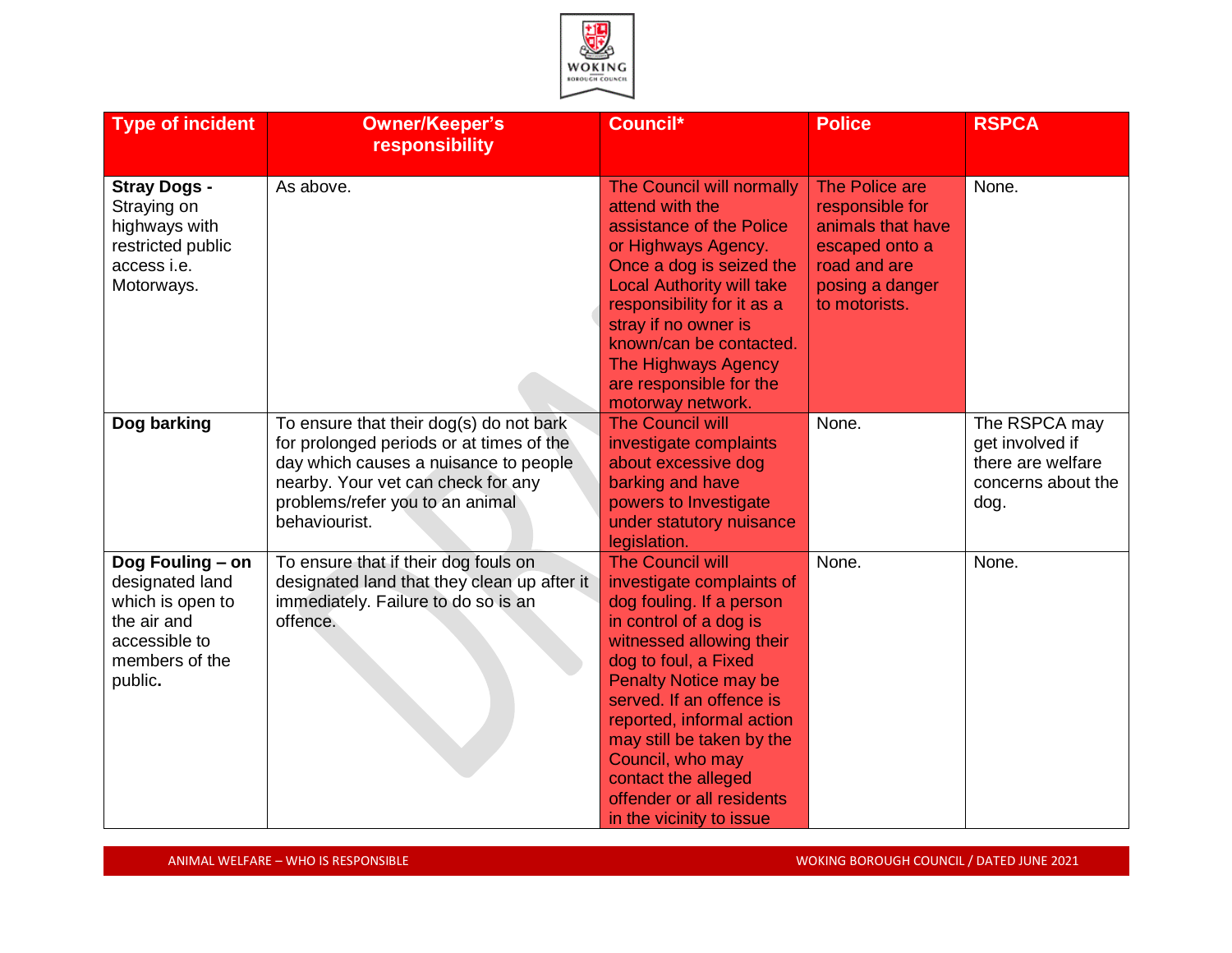

| <b>Type of incident</b>                                                                                              | <b>Owner/Keeper's</b><br>responsibility                                                                                                                                                                                | Council*                                                                                                                                                                                                                                                                                                                                                                                 | <b>Police</b>                                                                                                                | <b>RSPCA</b>                                                                        |
|----------------------------------------------------------------------------------------------------------------------|------------------------------------------------------------------------------------------------------------------------------------------------------------------------------------------------------------------------|------------------------------------------------------------------------------------------------------------------------------------------------------------------------------------------------------------------------------------------------------------------------------------------------------------------------------------------------------------------------------------------|------------------------------------------------------------------------------------------------------------------------------|-------------------------------------------------------------------------------------|
| <b>Stray Dogs -</b><br>Straying on<br>highways with<br>restricted public<br>access i.e.<br>Motorways.                | As above.                                                                                                                                                                                                              | <b>The Council will normally</b><br>attend with the<br>assistance of the Police<br>or Highways Agency.<br>Once a dog is seized the<br><b>Local Authority will take</b><br>responsibility for it as a<br>stray if no owner is<br>known/can be contacted.<br><b>The Highways Agency</b><br>are responsible for the<br>motorway network.                                                    | The Police are<br>responsible for<br>animals that have<br>escaped onto a<br>road and are<br>posing a danger<br>to motorists. | None.                                                                               |
| Dog barking                                                                                                          | To ensure that their dog(s) do not bark<br>for prolonged periods or at times of the<br>day which causes a nuisance to people<br>nearby. Your vet can check for any<br>problems/refer you to an animal<br>behaviourist. | <b>The Council will</b><br>investigate complaints<br>about excessive dog<br>barking and have<br>powers to Investigate<br>under statutory nuisance<br>legislation.                                                                                                                                                                                                                        | None.                                                                                                                        | The RSPCA may<br>get involved if<br>there are welfare<br>concerns about the<br>dog. |
| Dog Fouling - on<br>designated land<br>which is open to<br>the air and<br>accessible to<br>members of the<br>public. | To ensure that if their dog fouls on<br>designated land that they clean up after it<br>immediately. Failure to do so is an<br>offence.                                                                                 | <b>The Council will</b><br>investigate complaints of<br>dog fouling. If a person<br>in control of a dog is<br>witnessed allowing their<br>dog to foul, a Fixed<br><b>Penalty Notice may be</b><br>served. If an offence is<br>reported, informal action<br>may still be taken by the<br>Council, who may<br>contact the alleged<br>offender or all residents<br>in the vicinity to issue | None.                                                                                                                        | None.                                                                               |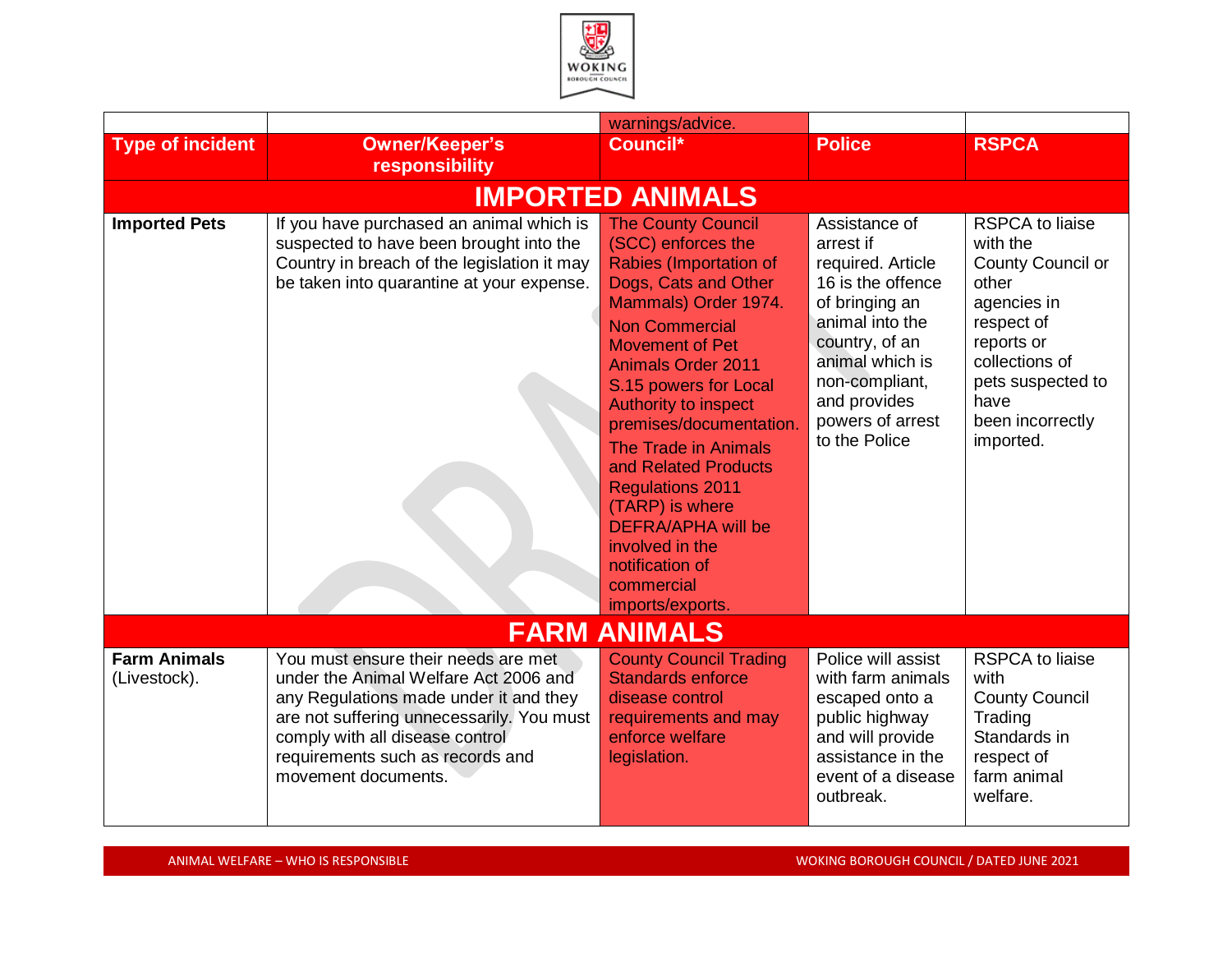

|                                     |                                                                                                                                                                                                                                                                   | warnings/advice.                                                                                                                                                                                                                                                                                                                                                                                                                                                                                       |                                                                                                                                                                                                                       |                                                                                                                                                                                                    |
|-------------------------------------|-------------------------------------------------------------------------------------------------------------------------------------------------------------------------------------------------------------------------------------------------------------------|--------------------------------------------------------------------------------------------------------------------------------------------------------------------------------------------------------------------------------------------------------------------------------------------------------------------------------------------------------------------------------------------------------------------------------------------------------------------------------------------------------|-----------------------------------------------------------------------------------------------------------------------------------------------------------------------------------------------------------------------|----------------------------------------------------------------------------------------------------------------------------------------------------------------------------------------------------|
| <b>Type of incident</b>             | <b>Owner/Keeper's</b><br>responsibility                                                                                                                                                                                                                           | Council*                                                                                                                                                                                                                                                                                                                                                                                                                                                                                               | <b>Police</b>                                                                                                                                                                                                         | <b>RSPCA</b>                                                                                                                                                                                       |
|                                     |                                                                                                                                                                                                                                                                   | <b>IMPORTED ANIMALS</b>                                                                                                                                                                                                                                                                                                                                                                                                                                                                                |                                                                                                                                                                                                                       |                                                                                                                                                                                                    |
| <b>Imported Pets</b>                | If you have purchased an animal which is<br>suspected to have been brought into the<br>Country in breach of the legislation it may<br>be taken into quarantine at your expense.                                                                                   | <b>The County Council</b><br>(SCC) enforces the<br><b>Rabies (Importation of</b><br>Dogs, Cats and Other<br>Mammals) Order 1974.<br><b>Non Commercial</b><br><b>Movement of Pet</b><br><b>Animals Order 2011</b><br>S.15 powers for Local<br><b>Authority to inspect</b><br>premises/documentation.<br>The Trade in Animals<br>and Related Products<br><b>Regulations 2011</b><br>(TARP) is where<br><b>DEFRA/APHA will be</b><br>involved in the<br>notification of<br>commercial<br>imports/exports. | Assistance of<br>arrest if<br>required. Article<br>16 is the offence<br>of bringing an<br>animal into the<br>country, of an<br>animal which is<br>non-compliant,<br>and provides<br>powers of arrest<br>to the Police | <b>RSPCA to liaise</b><br>with the<br><b>County Council or</b><br>other<br>agencies in<br>respect of<br>reports or<br>collections of<br>pets suspected to<br>have<br>been incorrectly<br>imported. |
|                                     |                                                                                                                                                                                                                                                                   | <b>FARM ANIMALS</b>                                                                                                                                                                                                                                                                                                                                                                                                                                                                                    |                                                                                                                                                                                                                       |                                                                                                                                                                                                    |
| <b>Farm Animals</b><br>(Livestock). | You must ensure their needs are met<br>under the Animal Welfare Act 2006 and<br>any Regulations made under it and they<br>are not suffering unnecessarily. You must<br>comply with all disease control<br>requirements such as records and<br>movement documents. | <b>County Council Trading</b><br><b>Standards enforce</b><br>disease control<br>requirements and may<br>enforce welfare<br>legislation.                                                                                                                                                                                                                                                                                                                                                                | Police will assist<br>with farm animals<br>escaped onto a<br>public highway<br>and will provide<br>assistance in the<br>event of a disease<br>outbreak.                                                               | <b>RSPCA to liaise</b><br>with<br><b>County Council</b><br>Trading<br>Standards in<br>respect of<br>farm animal<br>welfare.                                                                        |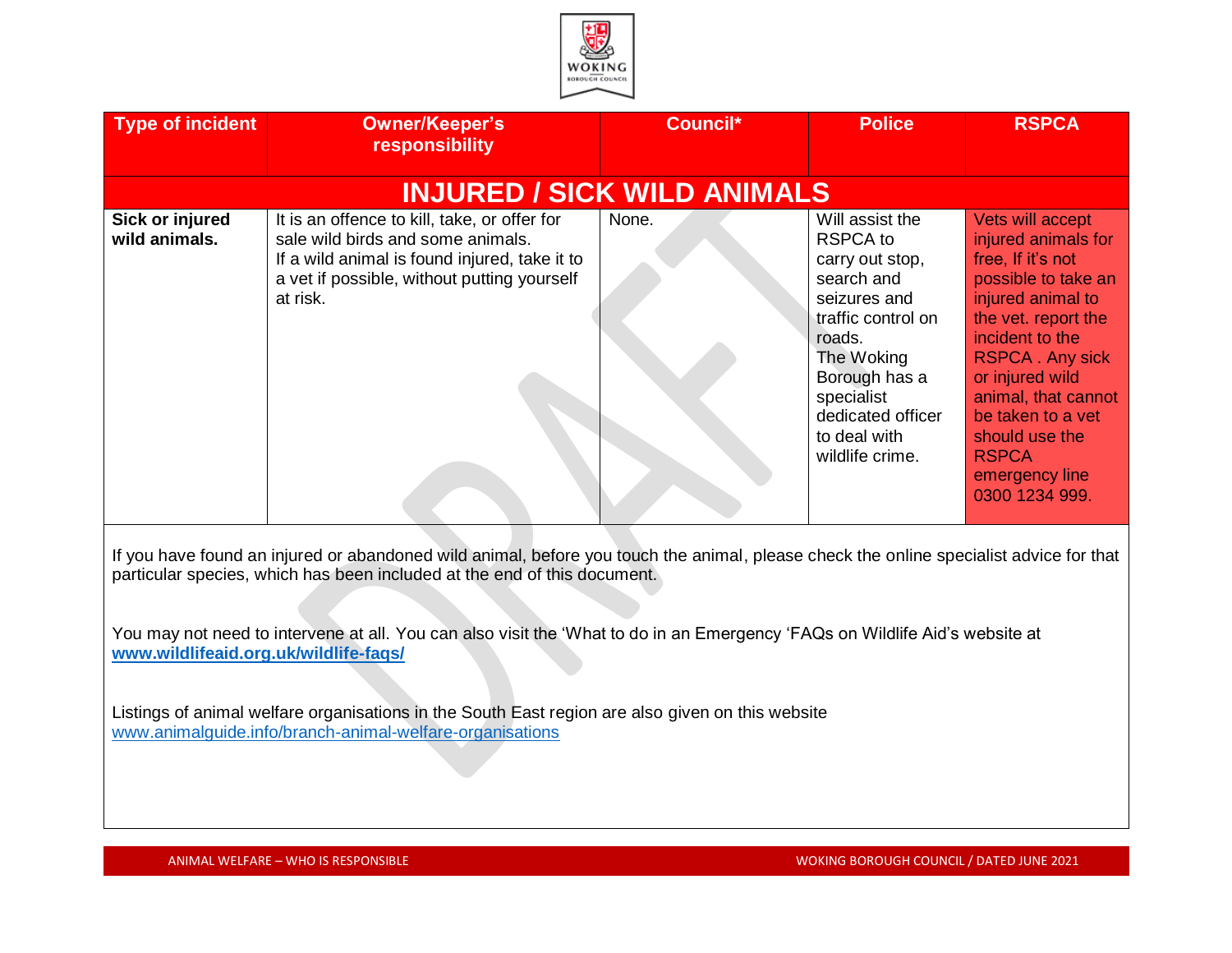| <b>Type of incident</b>          | <b>Owner/Keeper's</b><br>responsibility                                                                                                                                                       | Council* | <b>Police</b>                                                                                                                                                                                                            | <b>RSPCA</b>                                                                                                                                                                                                                                                                                                      |
|----------------------------------|-----------------------------------------------------------------------------------------------------------------------------------------------------------------------------------------------|----------|--------------------------------------------------------------------------------------------------------------------------------------------------------------------------------------------------------------------------|-------------------------------------------------------------------------------------------------------------------------------------------------------------------------------------------------------------------------------------------------------------------------------------------------------------------|
|                                  | <b>INJURED / SICK WILD ANIMALS</b>                                                                                                                                                            |          |                                                                                                                                                                                                                          |                                                                                                                                                                                                                                                                                                                   |
| Sick or injured<br>wild animals. | It is an offence to kill, take, or offer for<br>sale wild birds and some animals.<br>If a wild animal is found injured, take it to<br>a vet if possible, without putting yourself<br>at risk. | None.    | Will assist the<br><b>RSPCA</b> to<br>carry out stop,<br>search and<br>seizures and<br>traffic control on<br>roads.<br>The Woking<br>Borough has a<br>specialist<br>dedicated officer<br>to deal with<br>wildlife crime. | Vets will accept<br>injured animals for<br>free, If it's not<br>possible to take an<br>injured animal to<br>the vet. report the<br>incident to the<br><b>RSPCA. Any sick</b><br>or injured wild<br>animal, that cannot<br>be taken to a vet<br>should use the<br><b>RSPCA</b><br>emergency line<br>0300 1234 999. |

If you have found an injured or abandoned wild animal, before you touch the animal, please check the online specialist advice for that particular species, which has been included at the end of this document.

You may not need to intervene at all. You can also visit the 'What to do in an Emergency 'FAQs on Wildlife Aid's website at **[www.wildlifeaid.org.uk/wildlife-faqs/](http://www.wildlifeaid.org.uk/wildlife-faqs/)** 

Listings of animal welfare organisations in the South East region are also given on this website [www.animalguide.info/branch-animal-welfare-organisations](http://www.animalguide.info/branch-animal-welfare-organisations)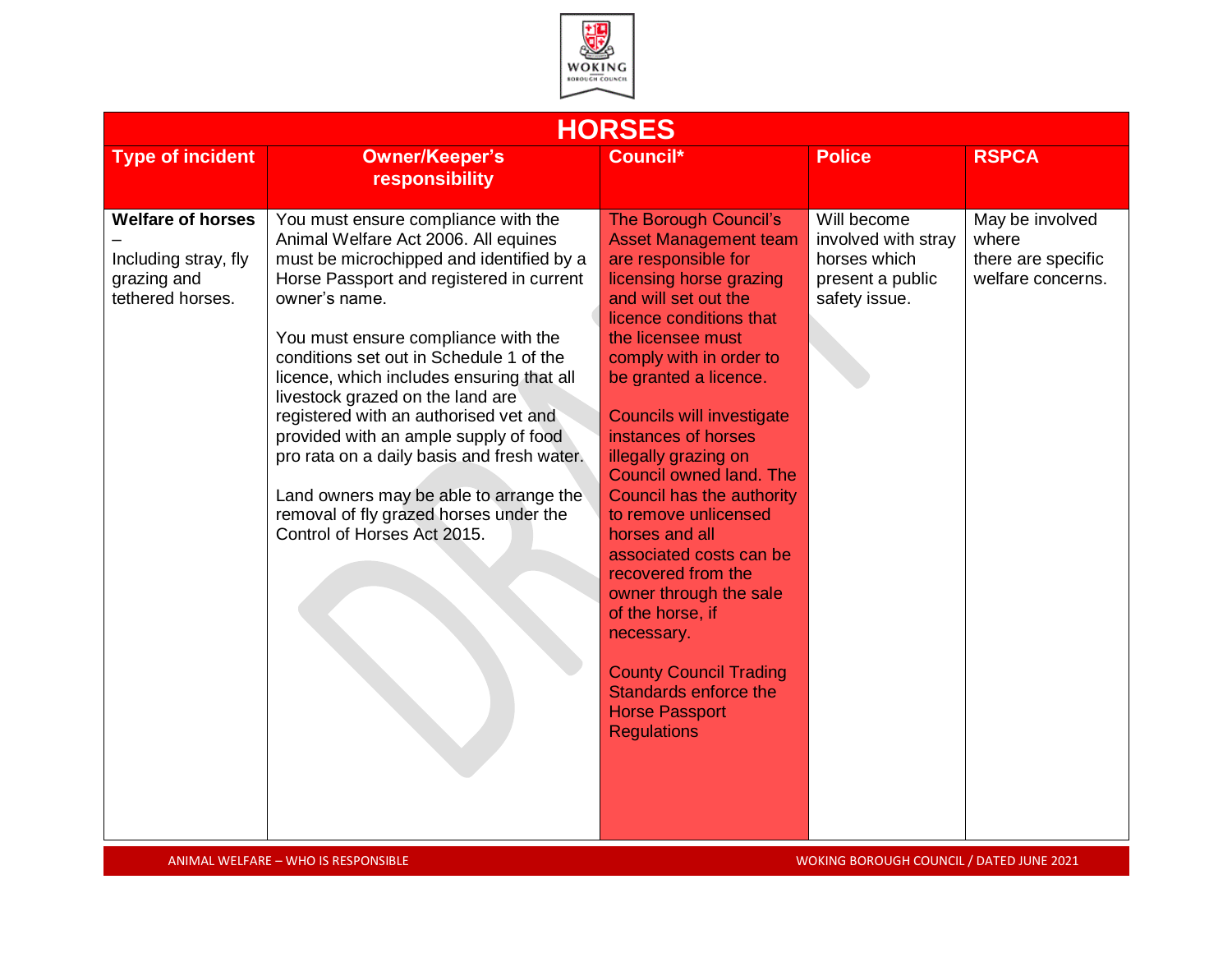

|                                                                                     |                                                                                                                                                                                                                                                                                                                                                                                                                                                                                                                                                                                                            | <b>HORSES</b>                                                                                                                                                                                                                                                                                                                                                                                                                                                                                                                                                                                                                                                |                                                                                         |                                                                     |
|-------------------------------------------------------------------------------------|------------------------------------------------------------------------------------------------------------------------------------------------------------------------------------------------------------------------------------------------------------------------------------------------------------------------------------------------------------------------------------------------------------------------------------------------------------------------------------------------------------------------------------------------------------------------------------------------------------|--------------------------------------------------------------------------------------------------------------------------------------------------------------------------------------------------------------------------------------------------------------------------------------------------------------------------------------------------------------------------------------------------------------------------------------------------------------------------------------------------------------------------------------------------------------------------------------------------------------------------------------------------------------|-----------------------------------------------------------------------------------------|---------------------------------------------------------------------|
| <b>Type of incident</b>                                                             | <b>Owner/Keeper's</b><br>responsibility                                                                                                                                                                                                                                                                                                                                                                                                                                                                                                                                                                    | Council*                                                                                                                                                                                                                                                                                                                                                                                                                                                                                                                                                                                                                                                     | <b>Police</b>                                                                           | <b>RSPCA</b>                                                        |
| <b>Welfare of horses</b><br>Including stray, fly<br>grazing and<br>tethered horses. | You must ensure compliance with the<br>Animal Welfare Act 2006. All equines<br>must be microchipped and identified by a<br>Horse Passport and registered in current<br>owner's name.<br>You must ensure compliance with the<br>conditions set out in Schedule 1 of the<br>licence, which includes ensuring that all<br>livestock grazed on the land are<br>registered with an authorised vet and<br>provided with an ample supply of food<br>pro rata on a daily basis and fresh water.<br>Land owners may be able to arrange the<br>removal of fly grazed horses under the<br>Control of Horses Act 2015. | The Borough Council's<br><b>Asset Management team</b><br>are responsible for<br>licensing horse grazing<br>and will set out the<br>licence conditions that<br>the licensee must<br>comply with in order to<br>be granted a licence.<br><b>Councils will investigate</b><br>instances of horses<br>illegally grazing on<br><b>Council owned land. The</b><br><b>Council has the authority</b><br>to remove unlicensed<br>horses and all<br>associated costs can be<br>recovered from the<br>owner through the sale<br>of the horse, if<br>necessary.<br><b>County Council Trading</b><br>Standards enforce the<br><b>Horse Passport</b><br><b>Regulations</b> | Will become<br>involved with stray<br>horses which<br>present a public<br>safety issue. | May be involved<br>where<br>there are specific<br>welfare concerns. |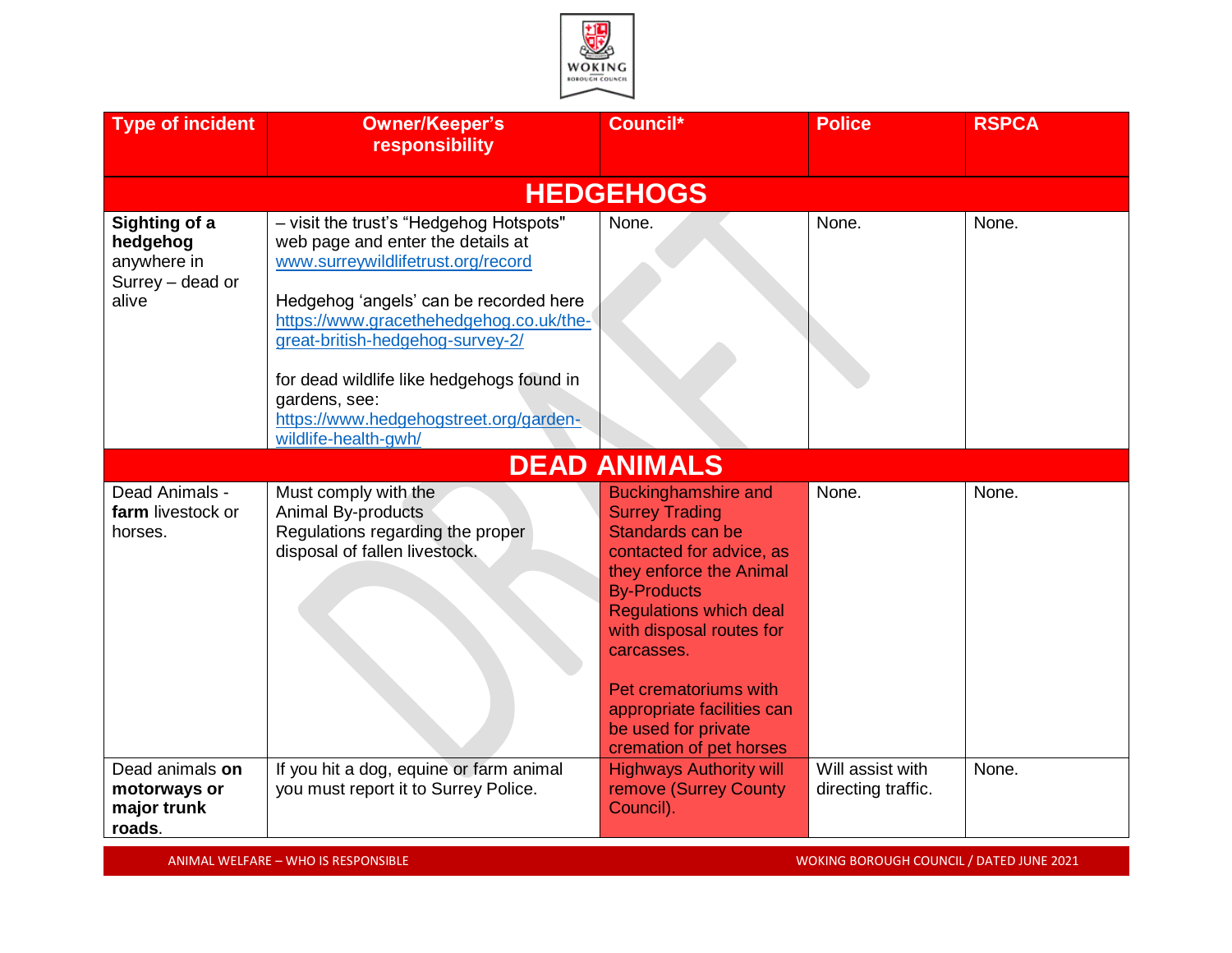

| <b>Type of incident</b>                                               | <b>Owner/Keeper's</b><br>responsibility                                                                                                                                                                                                                                                                                                             | Council*                                                                                                                                                                                                                                                                                                                                 | <b>Police</b>                          | <b>RSPCA</b> |
|-----------------------------------------------------------------------|-----------------------------------------------------------------------------------------------------------------------------------------------------------------------------------------------------------------------------------------------------------------------------------------------------------------------------------------------------|------------------------------------------------------------------------------------------------------------------------------------------------------------------------------------------------------------------------------------------------------------------------------------------------------------------------------------------|----------------------------------------|--------------|
|                                                                       |                                                                                                                                                                                                                                                                                                                                                     | <b>HEDGEHOGS</b>                                                                                                                                                                                                                                                                                                                         |                                        |              |
| Sighting of a<br>hedgehog<br>anywhere in<br>Surrey - dead or<br>alive | - visit the trust's "Hedgehog Hotspots"<br>web page and enter the details at<br>www.surreywildlifetrust.org/record<br>Hedgehog 'angels' can be recorded here<br>https://www.gracethehedgehog.co.uk/the-<br>great-british-hedgehog-survey-2/<br>for dead wildlife like hedgehogs found in<br>gardens, see:<br>https://www.hedgehogstreet.org/garden- | None.                                                                                                                                                                                                                                                                                                                                    | None.                                  | None.        |
|                                                                       | wildlife-health-gwh/                                                                                                                                                                                                                                                                                                                                |                                                                                                                                                                                                                                                                                                                                          |                                        |              |
|                                                                       |                                                                                                                                                                                                                                                                                                                                                     | <b>DEAD ANIMALS</b>                                                                                                                                                                                                                                                                                                                      |                                        |              |
| Dead Animals -<br>farm livestock or<br>horses.                        | Must comply with the<br>Animal By-products<br>Regulations regarding the proper<br>disposal of fallen livestock.                                                                                                                                                                                                                                     | <b>Buckinghamshire and</b><br><b>Surrey Trading</b><br>Standards can be<br>contacted for advice, as<br>they enforce the Animal<br><b>By-Products</b><br><b>Regulations which deal</b><br>with disposal routes for<br>carcasses.<br>Pet crematoriums with<br>appropriate facilities can<br>be used for private<br>cremation of pet horses | None.                                  | None.        |
| Dead animals on<br>motorways or<br>major trunk<br>roads.              | If you hit a dog, equine or farm animal<br>you must report it to Surrey Police.                                                                                                                                                                                                                                                                     | <b>Highways Authority will</b><br>remove (Surrey County<br>Council).                                                                                                                                                                                                                                                                     | Will assist with<br>directing traffic. | None.        |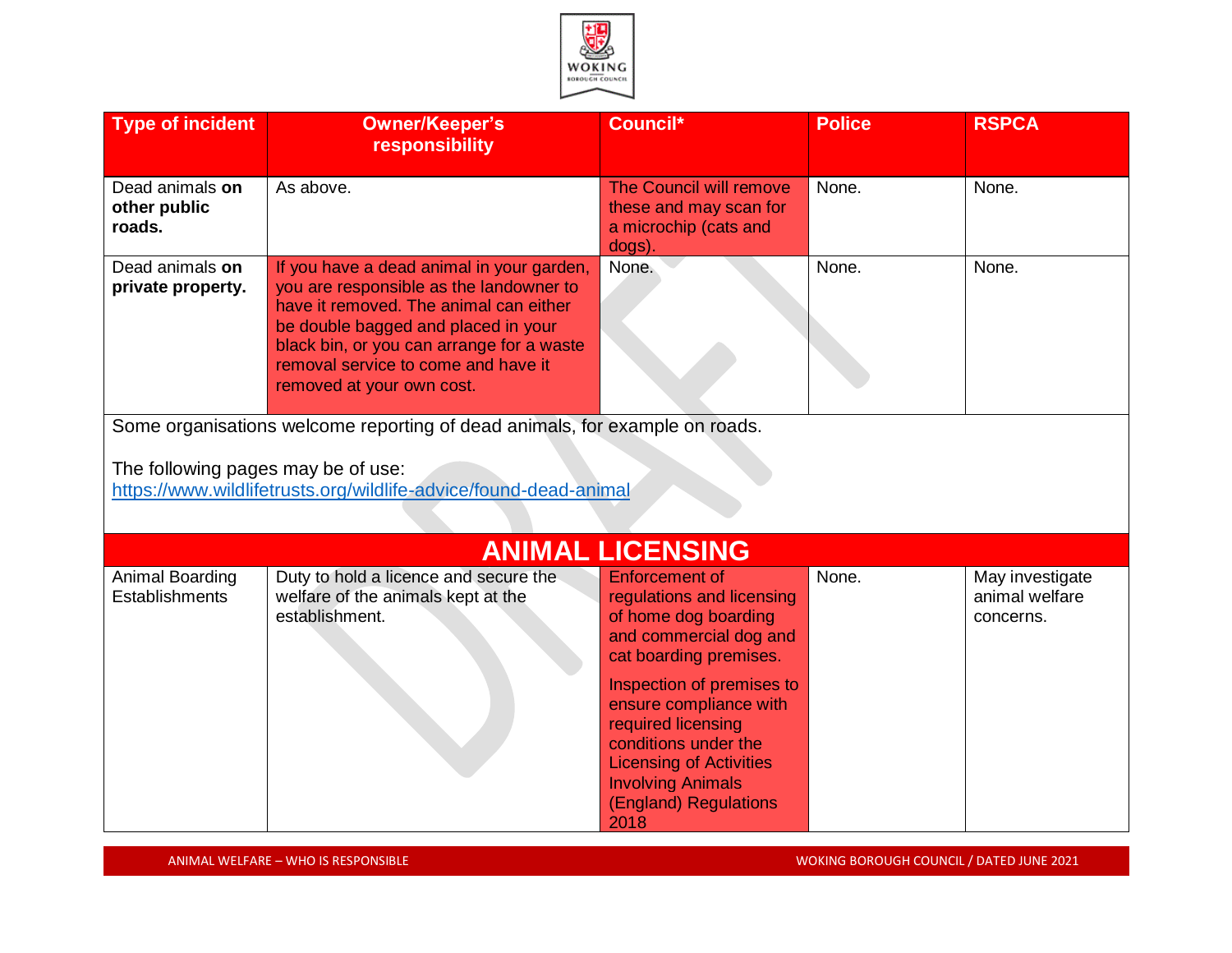

| <b>Type of incident</b>                                                                                | <b>Owner/Keeper's</b><br>responsibility                                                                                                                                                                                                                                                | Council*                                                                                                                                                                                                                                                                                                                           | <b>Police</b> | <b>RSPCA</b>                                   |
|--------------------------------------------------------------------------------------------------------|----------------------------------------------------------------------------------------------------------------------------------------------------------------------------------------------------------------------------------------------------------------------------------------|------------------------------------------------------------------------------------------------------------------------------------------------------------------------------------------------------------------------------------------------------------------------------------------------------------------------------------|---------------|------------------------------------------------|
| Dead animals on<br>other public<br>roads.                                                              | As above.                                                                                                                                                                                                                                                                              | The Council will remove<br>these and may scan for<br>a microchip (cats and<br>dogs).                                                                                                                                                                                                                                               | None.         | None.                                          |
| Dead animals on<br>private property.                                                                   | If you have a dead animal in your garden,<br>you are responsible as the landowner to<br>have it removed. The animal can either<br>be double bagged and placed in your<br>black bin, or you can arrange for a waste<br>removal service to come and have it<br>removed at your own cost. | None.                                                                                                                                                                                                                                                                                                                              | None.         | None.                                          |
|                                                                                                        | Some organisations welcome reporting of dead animals, for example on roads.                                                                                                                                                                                                            |                                                                                                                                                                                                                                                                                                                                    |               |                                                |
| The following pages may be of use:<br>https://www.wildlifetrusts.org/wildlife-advice/found-dead-animal |                                                                                                                                                                                                                                                                                        |                                                                                                                                                                                                                                                                                                                                    |               |                                                |
|                                                                                                        |                                                                                                                                                                                                                                                                                        | <b>ANIMAL LICENSING</b>                                                                                                                                                                                                                                                                                                            |               |                                                |
| Animal Boarding<br><b>Establishments</b>                                                               | Duty to hold a licence and secure the<br>welfare of the animals kept at the<br>establishment.                                                                                                                                                                                          | <b>Enforcement of</b><br>regulations and licensing<br>of home dog boarding<br>and commercial dog and<br>cat boarding premises.<br>Inspection of premises to<br>ensure compliance with<br>required licensing<br>conditions under the<br><b>Licensing of Activities</b><br><b>Involving Animals</b><br>(England) Regulations<br>2018 | None.         | May investigate<br>animal welfare<br>concerns. |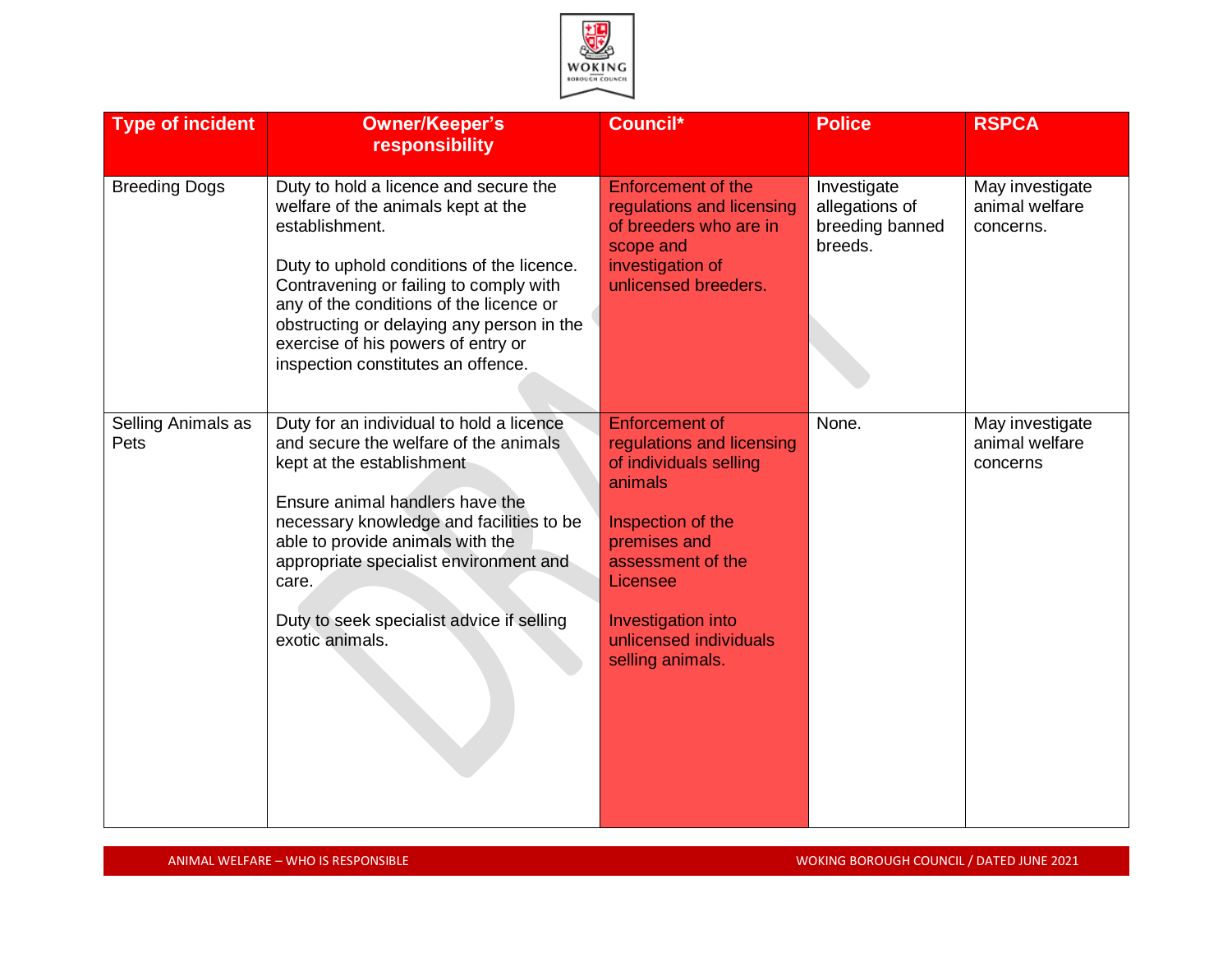

| <b>Type of incident</b>    | <b>Owner/Keeper's</b><br>responsibility                                                                                                                                                                                                                                                                                                                  | Council*                                                                                                                                                                                                                          | <b>Police</b>                                               | <b>RSPCA</b>                                   |
|----------------------------|----------------------------------------------------------------------------------------------------------------------------------------------------------------------------------------------------------------------------------------------------------------------------------------------------------------------------------------------------------|-----------------------------------------------------------------------------------------------------------------------------------------------------------------------------------------------------------------------------------|-------------------------------------------------------------|------------------------------------------------|
| <b>Breeding Dogs</b>       | Duty to hold a licence and secure the<br>welfare of the animals kept at the<br>establishment.<br>Duty to uphold conditions of the licence.<br>Contravening or failing to comply with<br>any of the conditions of the licence or<br>obstructing or delaying any person in the<br>exercise of his powers of entry or<br>inspection constitutes an offence. | <b>Enforcement of the</b><br>regulations and licensing<br>of breeders who are in<br>scope and<br>investigation of<br>unlicensed breeders.                                                                                         | Investigate<br>allegations of<br>breeding banned<br>breeds. | May investigate<br>animal welfare<br>concerns. |
| Selling Animals as<br>Pets | Duty for an individual to hold a licence<br>and secure the welfare of the animals<br>kept at the establishment<br>Ensure animal handlers have the<br>necessary knowledge and facilities to be<br>able to provide animals with the<br>appropriate specialist environment and<br>care.<br>Duty to seek specialist advice if selling<br>exotic animals.     | <b>Enforcement of</b><br>regulations and licensing<br>of individuals selling<br>animals<br>Inspection of the<br>premises and<br>assessment of the<br>Licensee<br>Investigation into<br>unlicensed individuals<br>selling animals. | None.                                                       | May investigate<br>animal welfare<br>concerns  |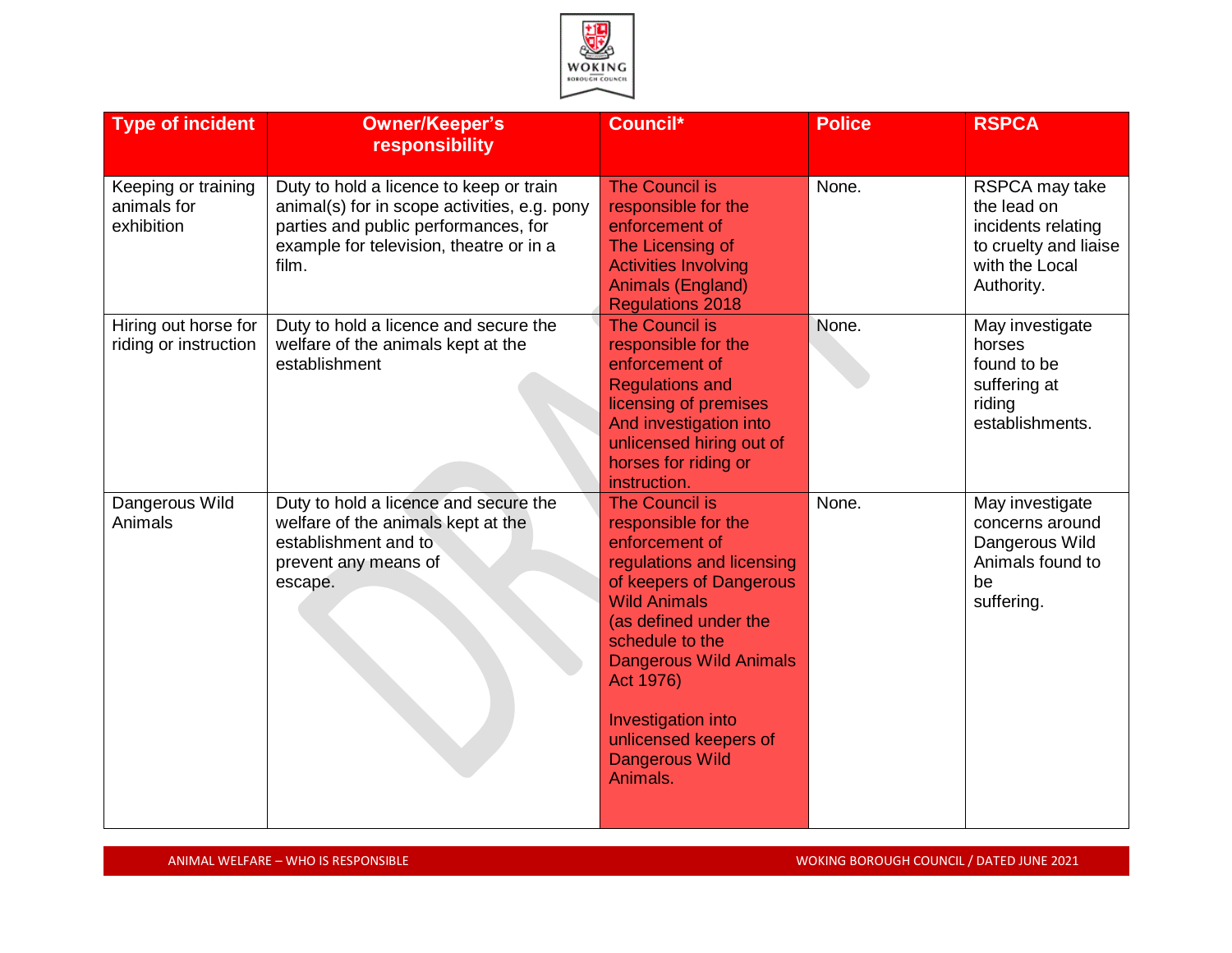

| <b>Type of incident</b>                          | <b>Owner/Keeper's</b><br>responsibility                                                                                                                                             | Council*                                                                                                                                                                                                                                                                                                                    | <b>Police</b> | <b>RSPCA</b>                                                                                                 |
|--------------------------------------------------|-------------------------------------------------------------------------------------------------------------------------------------------------------------------------------------|-----------------------------------------------------------------------------------------------------------------------------------------------------------------------------------------------------------------------------------------------------------------------------------------------------------------------------|---------------|--------------------------------------------------------------------------------------------------------------|
| Keeping or training<br>animals for<br>exhibition | Duty to hold a licence to keep or train<br>animal(s) for in scope activities, e.g. pony<br>parties and public performances, for<br>example for television, theatre or in a<br>film. | <b>The Council is</b><br>responsible for the<br>enforcement of<br>The Licensing of<br><b>Activities Involving</b><br><b>Animals (England)</b><br><b>Regulations 2018</b>                                                                                                                                                    | None.         | RSPCA may take<br>the lead on<br>incidents relating<br>to cruelty and liaise<br>with the Local<br>Authority. |
| Hiring out horse for<br>riding or instruction    | Duty to hold a licence and secure the<br>welfare of the animals kept at the<br>establishment                                                                                        | <b>The Council is</b><br>responsible for the<br>enforcement of<br><b>Regulations and</b><br>licensing of premises<br>And investigation into<br>unlicensed hiring out of<br>horses for riding or<br>instruction.                                                                                                             | None.         | May investigate<br>horses<br>found to be<br>suffering at<br>riding<br>establishments.                        |
| Dangerous Wild<br>Animals                        | Duty to hold a licence and secure the<br>welfare of the animals kept at the<br>establishment and to<br>prevent any means of<br>escape.                                              | <b>The Council is</b><br>responsible for the<br>enforcement of<br>regulations and licensing<br>of keepers of Dangerous<br><b>Wild Animals</b><br>(as defined under the<br>schedule to the<br><b>Dangerous Wild Animals</b><br>Act 1976)<br>Investigation into<br>unlicensed keepers of<br><b>Dangerous Wild</b><br>Animals. | None.         | May investigate<br>concerns around<br>Dangerous Wild<br>Animals found to<br>be<br>suffering.                 |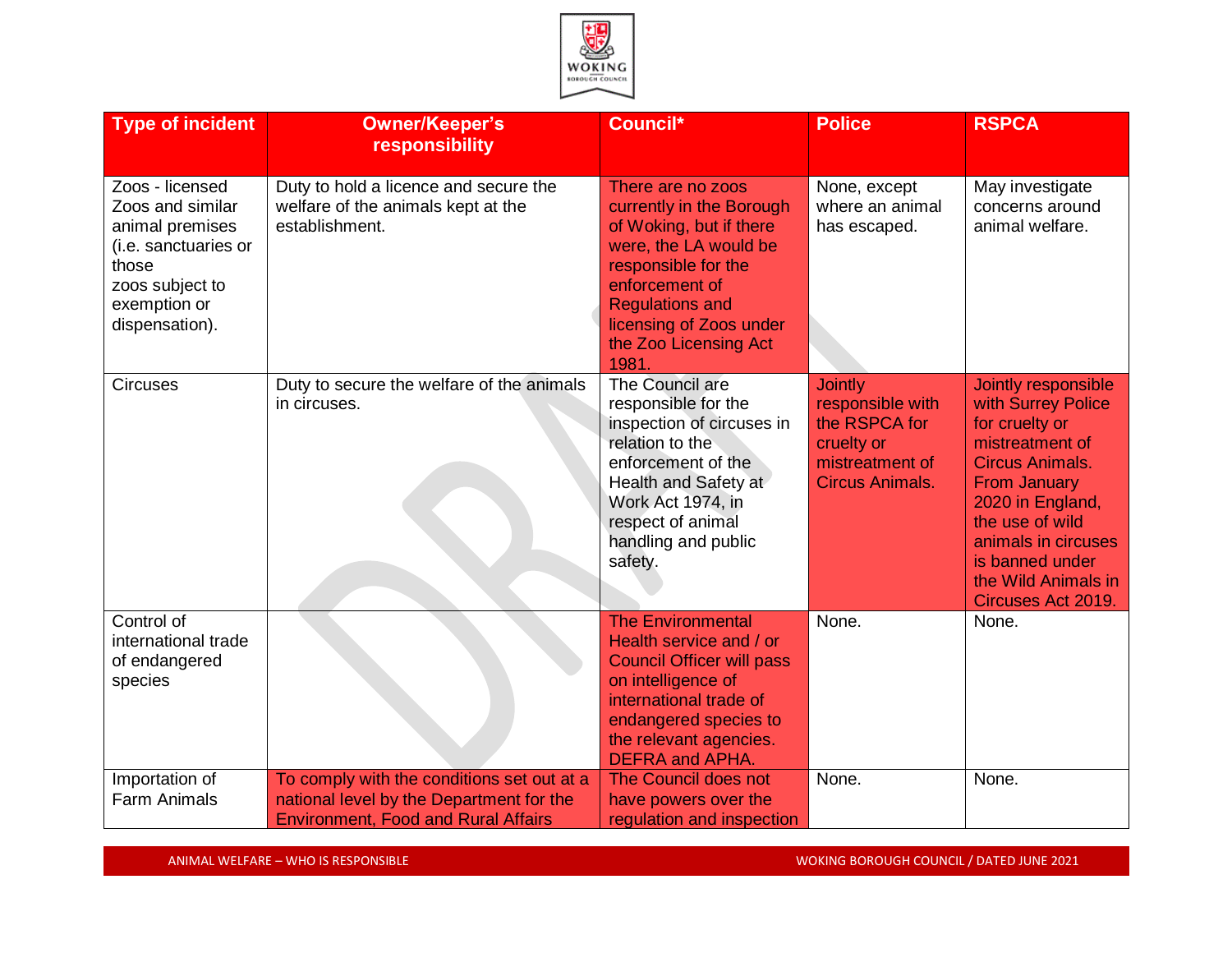

| <b>Type of incident</b>                                                                                                                      | <b>Owner/Keeper's</b><br>responsibility                                                                                              | Council*                                                                                                                                                                                                                          | <b>Police</b>                                                                                                  | <b>RSPCA</b>                                                                                                                                                                                                                                                  |
|----------------------------------------------------------------------------------------------------------------------------------------------|--------------------------------------------------------------------------------------------------------------------------------------|-----------------------------------------------------------------------------------------------------------------------------------------------------------------------------------------------------------------------------------|----------------------------------------------------------------------------------------------------------------|---------------------------------------------------------------------------------------------------------------------------------------------------------------------------------------------------------------------------------------------------------------|
| Zoos - licensed<br>Zoos and similar<br>animal premises<br>(i.e. sanctuaries or<br>those<br>zoos subject to<br>exemption or<br>dispensation). | Duty to hold a licence and secure the<br>welfare of the animals kept at the<br>establishment.                                        | There are no zoos<br>currently in the Borough<br>of Woking, but if there<br>were, the LA would be<br>responsible for the<br>enforcement of<br><b>Regulations and</b><br>licensing of Zoos under<br>the Zoo Licensing Act<br>1981. | None, except<br>where an animal<br>has escaped.                                                                | May investigate<br>concerns around<br>animal welfare.                                                                                                                                                                                                         |
| <b>Circuses</b>                                                                                                                              | Duty to secure the welfare of the animals<br>in circuses.                                                                            | The Council are<br>responsible for the<br>inspection of circuses in<br>relation to the<br>enforcement of the<br>Health and Safety at<br>Work Act 1974, in<br>respect of animal<br>handling and public<br>safety.                  | <b>Jointly</b><br>responsible with<br>the RSPCA for<br>cruelty or<br>mistreatment of<br><b>Circus Animals.</b> | Jointly responsible<br>with Surrey Police<br>for cruelty or<br>mistreatment of<br><b>Circus Animals.</b><br><b>From January</b><br>2020 in England,<br>the use of wild<br>animals in circuses<br>is banned under<br>the Wild Animals in<br>Circuses Act 2019. |
| Control of<br>international trade<br>of endangered<br>species                                                                                |                                                                                                                                      | <b>The Environmental</b><br>Health service and / or<br><b>Council Officer will pass</b><br>on intelligence of<br>international trade of<br>endangered species to<br>the relevant agencies.<br><b>DEFRA and APHA.</b>              | None.                                                                                                          | None.                                                                                                                                                                                                                                                         |
| Importation of<br><b>Farm Animals</b>                                                                                                        | To comply with the conditions set out at a<br>national level by the Department for the<br><b>Environment, Food and Rural Affairs</b> | The Council does not<br>have powers over the<br>regulation and inspection                                                                                                                                                         | None.                                                                                                          | None.                                                                                                                                                                                                                                                         |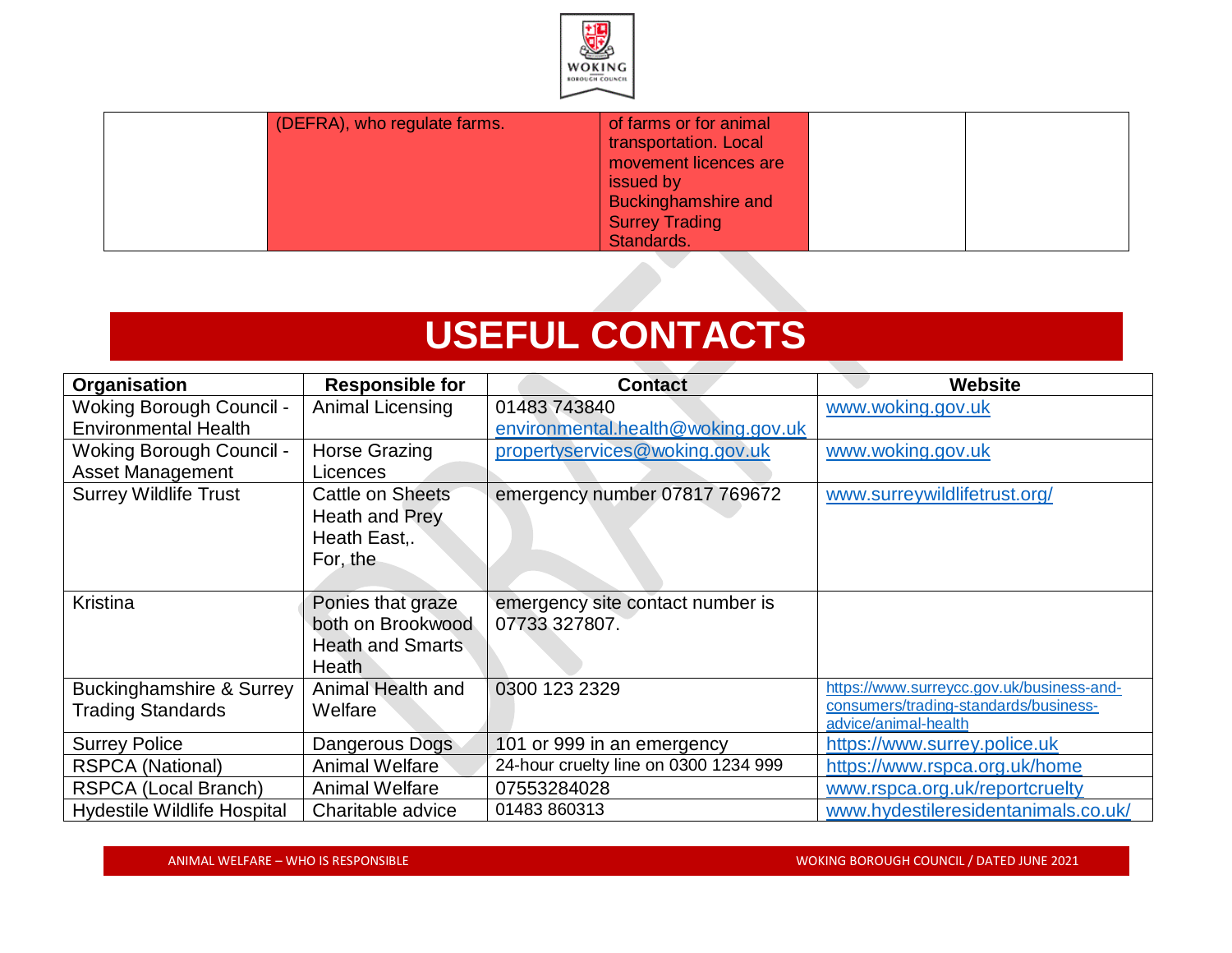

| (DEFRA), who regulate farms. | of farms or for animal<br>transportation. Local<br>movement licences are<br>issued by<br><b>Buckinghamshire and</b><br><b>Surrey Trading</b><br>Standards. |  |
|------------------------------|------------------------------------------------------------------------------------------------------------------------------------------------------------|--|
|------------------------------|------------------------------------------------------------------------------------------------------------------------------------------------------------|--|

# **USEFUL CONTACTS**

| Organisation                        | <b>Responsible for</b>  | <b>Contact</b>                        | <b>Website</b>                                                |
|-------------------------------------|-------------------------|---------------------------------------|---------------------------------------------------------------|
| <b>Woking Borough Council -</b>     | Animal Licensing        | 01483 743840                          | www.woking.gov.uk                                             |
| <b>Environmental Health</b>         |                         | environmental.health@woking.gov.uk    |                                                               |
| <b>Woking Borough Council -</b>     | <b>Horse Grazing</b>    | propertyservices@woking.gov.uk        | www.woking.gov.uk                                             |
| <b>Asset Management</b>             | Licences                |                                       |                                                               |
| <b>Surrey Wildlife Trust</b>        | Cattle on Sheets        | emergency number 07817 769672         | www.surreywildlifetrust.org/                                  |
|                                     | Heath and Prey          |                                       |                                                               |
|                                     | Heath East,.            |                                       |                                                               |
|                                     | For, the                |                                       |                                                               |
|                                     |                         |                                       |                                                               |
| Kristina                            | Ponies that graze       | emergency site contact number is      |                                                               |
|                                     | both on Brookwood       | 07733 327807.                         |                                                               |
|                                     | <b>Heath and Smarts</b> |                                       |                                                               |
|                                     | Heath                   |                                       |                                                               |
| <b>Buckinghamshire &amp; Surrey</b> | Animal Health and       | 0300 123 2329                         | https://www.surreycc.gov.uk/business-and-                     |
| <b>Trading Standards</b>            | Welfare                 |                                       | consumers/trading-standards/business-<br>advice/animal-health |
| <b>Surrey Police</b>                | Dangerous Dogs          | 101 or 999 in an emergency            | https://www.surrey.police.uk                                  |
| <b>RSPCA (National)</b>             | Animal Welfare          | 24-hour cruelty line on 0300 1234 999 | https://www.rspca.org.uk/home                                 |
| RSPCA (Local Branch)                | <b>Animal Welfare</b>   | 07553284028                           | www.rspca.org.uk/reportcruelty                                |
| <b>Hydestile Wildlife Hospital</b>  | Charitable advice       | 01483 860313                          | www.hydestileresidentanimals.co.uk/                           |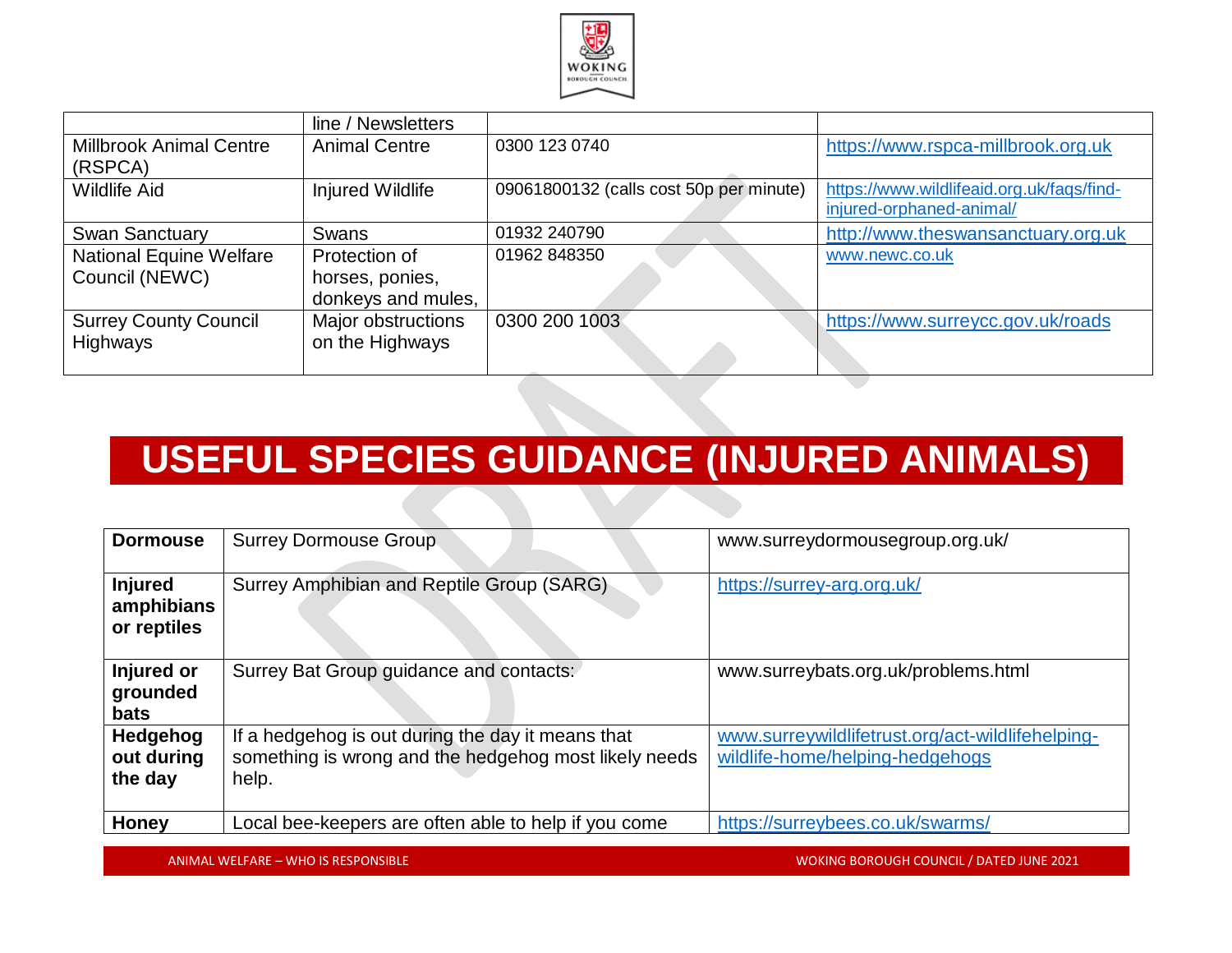

|                                | line / Newsletters   |                                         |                                           |
|--------------------------------|----------------------|-----------------------------------------|-------------------------------------------|
| <b>Millbrook Animal Centre</b> | <b>Animal Centre</b> | 0300 123 0740                           | https://www.rspca-millbrook.org.uk        |
| (RSPCA)                        |                      |                                         |                                           |
| <b>Wildlife Aid</b>            | Injured Wildlife     | 09061800132 (calls cost 50p per minute) | https://www.wildlifeaid.org.uk/faqs/find- |
|                                |                      |                                         | injured-orphaned-animal/                  |
| <b>Swan Sanctuary</b>          | Swans                | 01932 240790                            | http://www.theswansanctuary.org.uk        |
| <b>National Equine Welfare</b> | Protection of        | 01962 848350                            | www.newc.co.uk                            |
| Council (NEWC)                 | horses, ponies,      |                                         |                                           |
|                                | donkeys and mules,   |                                         |                                           |
| <b>Surrey County Council</b>   | Major obstructions   | 0300 200 1003                           | https://www.surreycc.gov.uk/roads         |
| Highways                       | on the Highways      |                                         |                                           |
|                                |                      |                                         |                                           |

# **USEFUL SPECIES GUIDANCE (INJURED ANIMALS)**

| <b>Dormouse</b>                             | <b>Surrey Dormouse Group</b>                                                                                        | www.surreydormousegroup.org.uk/                                                     |
|---------------------------------------------|---------------------------------------------------------------------------------------------------------------------|-------------------------------------------------------------------------------------|
| <b>Injured</b><br>amphibians<br>or reptiles | Surrey Amphibian and Reptile Group (SARG)                                                                           | https://surrey-arg.org.uk/                                                          |
| Injured or<br>grounded<br><b>bats</b>       | Surrey Bat Group guidance and contacts:                                                                             | www.surreybats.org.uk/problems.html                                                 |
| Hedgehog<br>out during<br>the day           | If a hedgehog is out during the day it means that<br>something is wrong and the hedgehog most likely needs<br>help. | www.surreywildlifetrust.org/act-wildlifehelping-<br>wildlife-home/helping-hedgehogs |
| Honey                                       | Local bee-keepers are often able to help if you come                                                                | https://surreybees.co.uk/swarms/                                                    |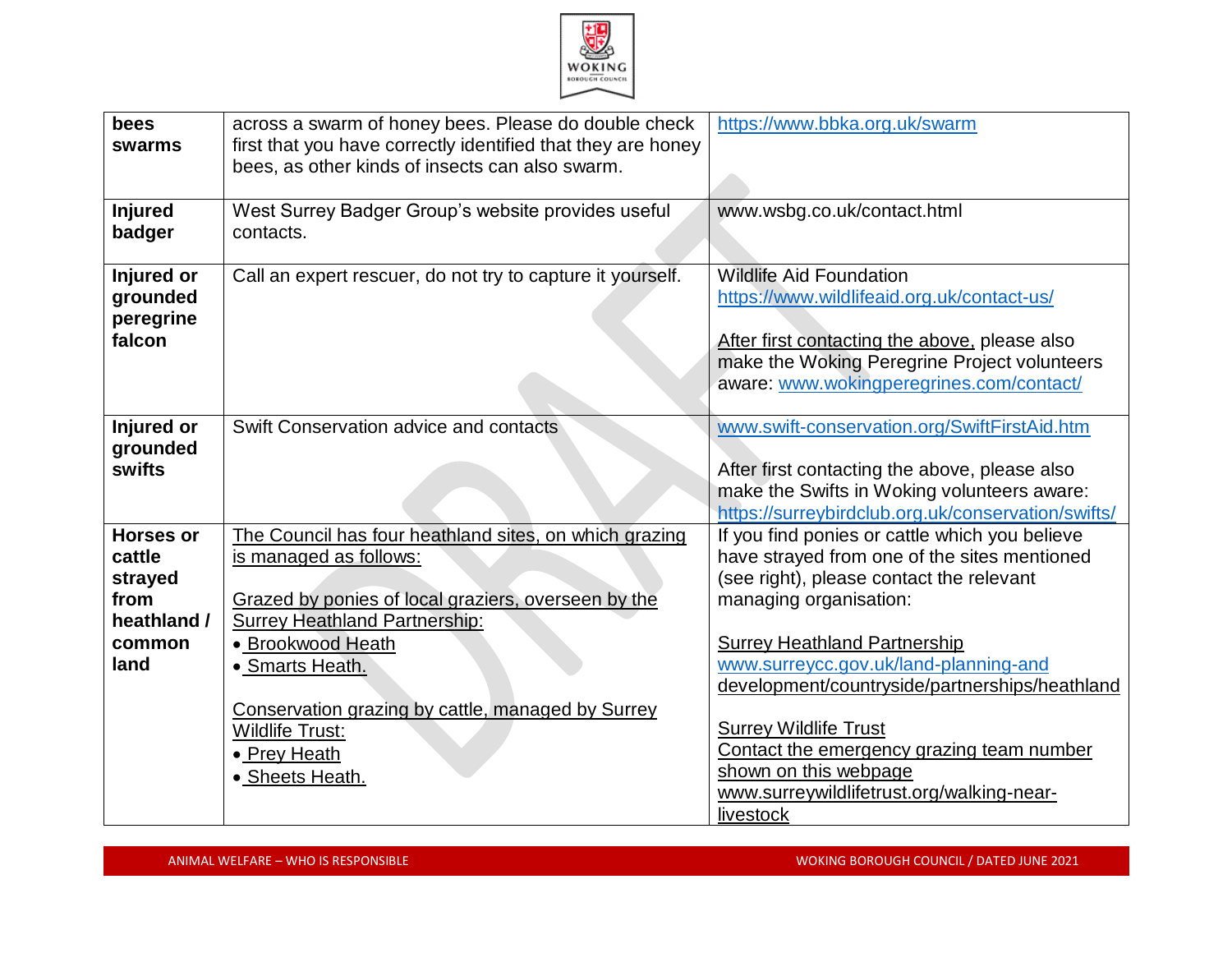

| bees<br>swarms                                                                 | across a swarm of honey bees. Please do double check<br>first that you have correctly identified that they are honey<br>bees, as other kinds of insects can also swarm.                                                                                                                                                                   | https://www.bbka.org.uk/swarm                                                                                                                                                                                                                                                                                                                                                                                                                                          |
|--------------------------------------------------------------------------------|-------------------------------------------------------------------------------------------------------------------------------------------------------------------------------------------------------------------------------------------------------------------------------------------------------------------------------------------|------------------------------------------------------------------------------------------------------------------------------------------------------------------------------------------------------------------------------------------------------------------------------------------------------------------------------------------------------------------------------------------------------------------------------------------------------------------------|
| <b>Injured</b><br>badger                                                       | West Surrey Badger Group's website provides useful<br>contacts.                                                                                                                                                                                                                                                                           | www.wsbg.co.uk/contact.html                                                                                                                                                                                                                                                                                                                                                                                                                                            |
| Injured or<br>grounded<br>peregrine<br>falcon                                  | Call an expert rescuer, do not try to capture it yourself.                                                                                                                                                                                                                                                                                | <b>Wildlife Aid Foundation</b><br>https://www.wildlifeaid.org.uk/contact-us/<br>After first contacting the above, please also<br>make the Woking Peregrine Project volunteers<br>aware: www.wokingperegrines.com/contact/                                                                                                                                                                                                                                              |
| Injured or<br>grounded<br>swifts                                               | Swift Conservation advice and contacts                                                                                                                                                                                                                                                                                                    | www.swift-conservation.org/SwiftFirstAid.htm<br>After first contacting the above, please also<br>make the Swifts in Woking volunteers aware:<br>https://surreybirdclub.org.uk/conservation/swifts/                                                                                                                                                                                                                                                                     |
| <b>Horses or</b><br>cattle<br>strayed<br>from<br>heathland /<br>common<br>land | The Council has four heathland sites, on which grazing<br>is managed as follows:<br>Grazed by ponies of local graziers, overseen by the<br><b>Surrey Heathland Partnership:</b><br>• Brookwood Heath<br>• Smarts Heath.<br>Conservation grazing by cattle, managed by Surrey<br><b>Wildlife Trust:</b><br>• Prey Heath<br>• Sheets Heath. | If you find ponies or cattle which you believe<br>have strayed from one of the sites mentioned<br>(see right), please contact the relevant<br>managing organisation:<br><b>Surrey Heathland Partnership</b><br>www.surreycc.gov.uk/land-planning-and<br>development/countryside/partnerships/heathland<br><b>Surrey Wildlife Trust</b><br>Contact the emergency grazing team number<br>shown on this webpage<br>www.surreywildlifetrust.org/walking-near-<br>livestock |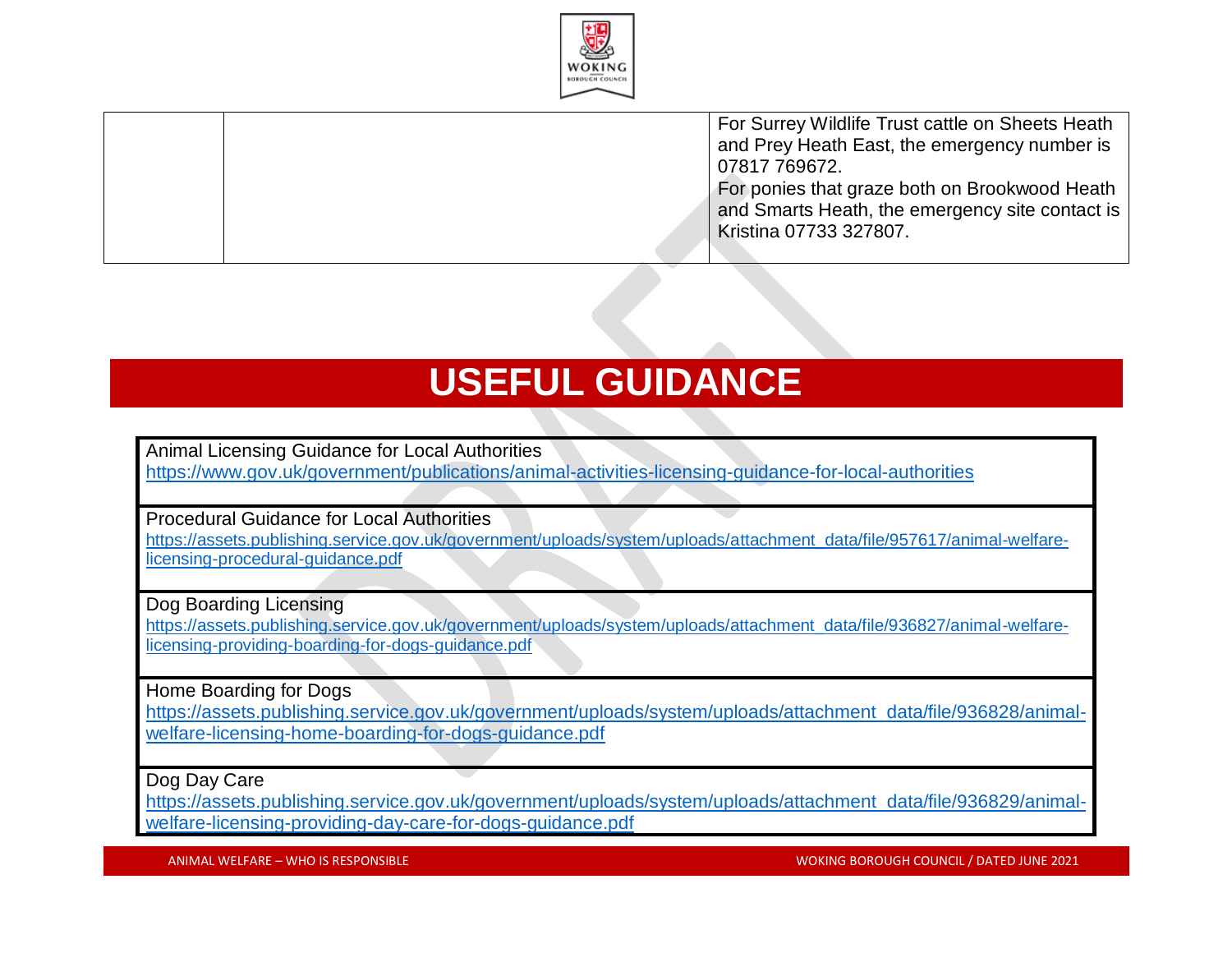

For Surrey Wildlife Trust cattle on Sheets Heath and Prey Heath East, the emergency number is 07817 769672. For ponies that graze both on Brookwood Heath and Smarts Heath, the emergency site contact is Kristina 07733 327807.

#### **USEFUL GUIDANCE**

Animal Licensing Guidance for Local Authorities <https://www.gov.uk/government/publications/animal-activities-licensing-guidance-for-local-authorities>

Procedural Guidance for Local Authorities

[https://assets.publishing.service.gov.uk/government/uploads/system/uploads/attachment\\_data/file/957617/animal-welfare](https://assets.publishing.service.gov.uk/government/uploads/system/uploads/attachment_data/file/957617/animal-welfare-licensing-procedural-guidance.pdf)[licensing-procedural-guidance.pdf](https://assets.publishing.service.gov.uk/government/uploads/system/uploads/attachment_data/file/957617/animal-welfare-licensing-procedural-guidance.pdf)

Dog Boarding Licensing

https://assets.publishing.service.gov.uk/government/uploads/system/uploads/attachment\_data/file/936827/animal-welfarelicensing-providing-boarding-for-dogs-guidance.pdf

Home Boarding for Dogs

[https://assets.publishing.service.gov.uk/government/uploads/system/uploads/attachment\\_data/file/936828/animal](https://assets.publishing.service.gov.uk/government/uploads/system/uploads/attachment_data/file/936828/animal-welfare-licensing-home-boarding-for-dogs-guidance.pdf)[welfare-licensing-home-boarding-for-dogs-guidance.pdf](https://assets.publishing.service.gov.uk/government/uploads/system/uploads/attachment_data/file/936828/animal-welfare-licensing-home-boarding-for-dogs-guidance.pdf)

Dog Day Care

[https://assets.publishing.service.gov.uk/government/uploads/system/uploads/attachment\\_data/file/936829/animal](https://assets.publishing.service.gov.uk/government/uploads/system/uploads/attachment_data/file/936829/animal-welfare-licensing-providing-day-care-for-dogs-guidance.pdf)[welfare-licensing-providing-day-care-for-dogs-guidance.pdf](https://assets.publishing.service.gov.uk/government/uploads/system/uploads/attachment_data/file/936829/animal-welfare-licensing-providing-day-care-for-dogs-guidance.pdf)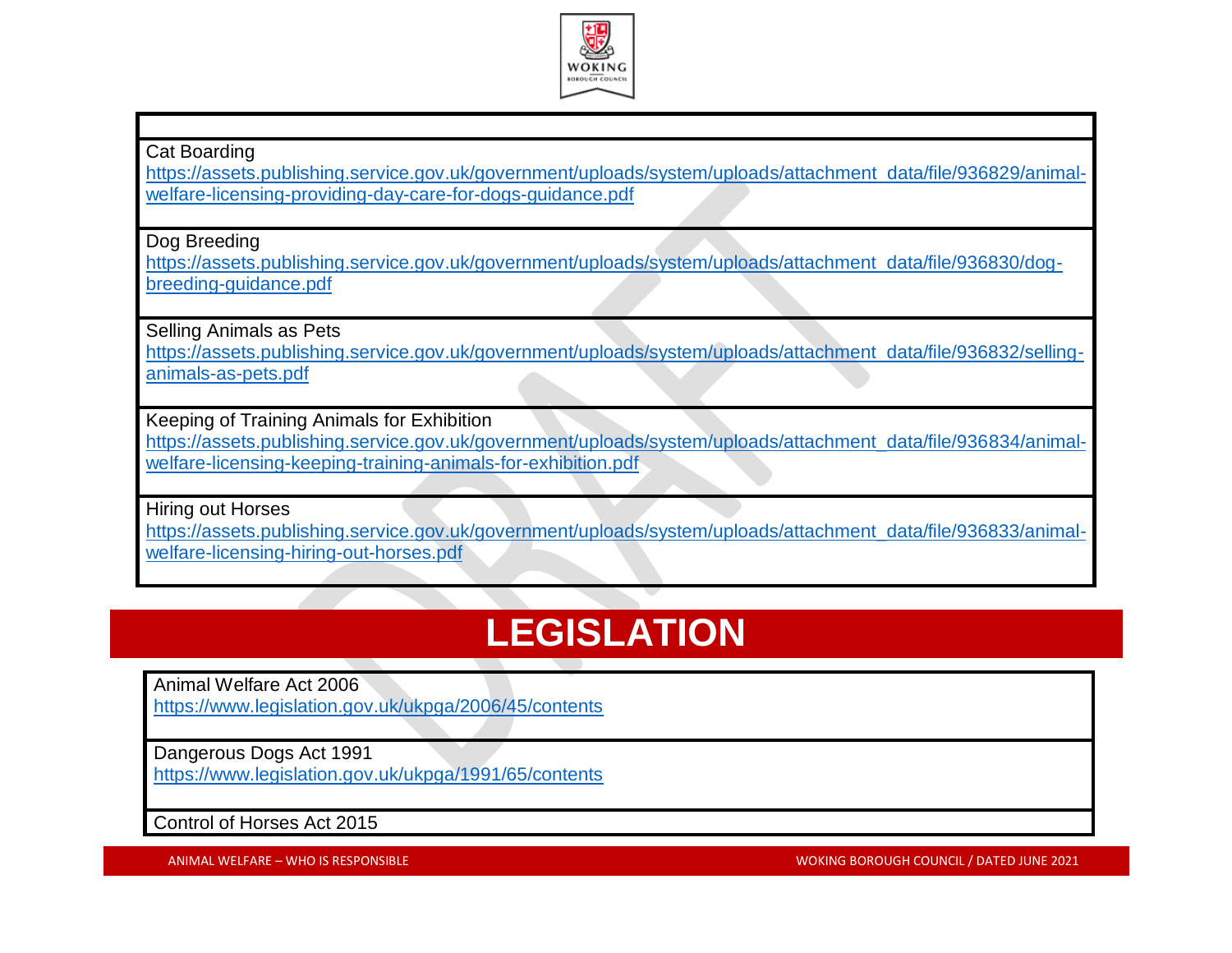

#### Cat Boarding

[https://assets.publishing.service.gov.uk/government/uploads/system/uploads/attachment\\_data/file/936829/animal](https://assets.publishing.service.gov.uk/government/uploads/system/uploads/attachment_data/file/936829/animal-welfare-licensing-providing-day-care-for-dogs-guidance.pdf)[welfare-licensing-providing-day-care-for-dogs-guidance.pdf](https://assets.publishing.service.gov.uk/government/uploads/system/uploads/attachment_data/file/936829/animal-welfare-licensing-providing-day-care-for-dogs-guidance.pdf)

Dog Breeding

[https://assets.publishing.service.gov.uk/government/uploads/system/uploads/attachment\\_data/file/936830/dog](https://assets.publishing.service.gov.uk/government/uploads/system/uploads/attachment_data/file/936830/dog-breeding-guidance.pdf)[breeding-guidance.pdf](https://assets.publishing.service.gov.uk/government/uploads/system/uploads/attachment_data/file/936830/dog-breeding-guidance.pdf)

Selling Animals as Pets

[https://assets.publishing.service.gov.uk/government/uploads/system/uploads/attachment\\_data/file/936832/selling](https://assets.publishing.service.gov.uk/government/uploads/system/uploads/attachment_data/file/936832/selling-animals-as-pets.pdf)[animals-as-pets.pdf](https://assets.publishing.service.gov.uk/government/uploads/system/uploads/attachment_data/file/936832/selling-animals-as-pets.pdf)

Keeping of Training Animals for Exhibition

[https://assets.publishing.service.gov.uk/government/uploads/system/uploads/attachment\\_data/file/936834/animal](https://assets.publishing.service.gov.uk/government/uploads/system/uploads/attachment_data/file/936834/animal-welfare-licensing-keeping-training-animals-for-exhibition.pdf)[welfare-licensing-keeping-training-animals-for-exhibition.pdf](https://assets.publishing.service.gov.uk/government/uploads/system/uploads/attachment_data/file/936834/animal-welfare-licensing-keeping-training-animals-for-exhibition.pdf)

Hiring out Horses

[https://assets.publishing.service.gov.uk/government/uploads/system/uploads/attachment\\_data/file/936833/animal](https://assets.publishing.service.gov.uk/government/uploads/system/uploads/attachment_data/file/936833/animal-welfare-licensing-hiring-out-horses.pdf)[welfare-licensing-hiring-out-horses.pdf](https://assets.publishing.service.gov.uk/government/uploads/system/uploads/attachment_data/file/936833/animal-welfare-licensing-hiring-out-horses.pdf)

# **LEGISLATION**

Animal Welfare Act 2006 <https://www.legislation.gov.uk/ukpga/2006/45/contents>

Dangerous Dogs Act 1991

<https://www.legislation.gov.uk/ukpga/1991/65/contents>

Control of Horses Act 2015